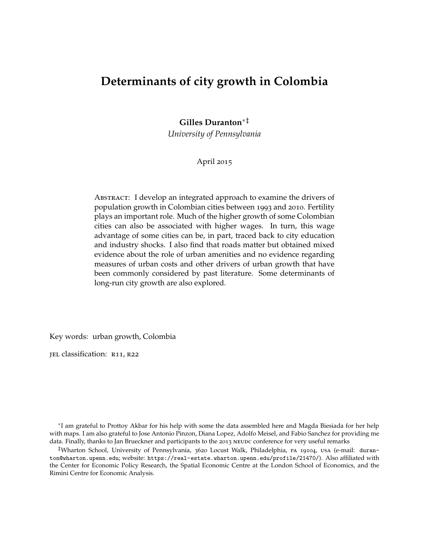# **Determinants of city growth in Colombia**

**Gilles Duranton**[∗](#page-0-0)[‡](#page-0-1)

*University of Pennsylvania*

April 2015

ABSTRACT: I develop an integrated approach to examine the drivers of population growth in Colombian cities between 1993 and 2010. Fertility plays an important role. Much of the higher growth of some Colombian cities can also be associated with higher wages. In turn, this wage advantage of some cities can be, in part, traced back to city education and industry shocks. I also find that roads matter but obtained mixed evidence about the role of urban amenities and no evidence regarding measures of urban costs and other drivers of urban growth that have been commonly considered by past literature. Some determinants of long-run city growth are also explored.

Key words: urban growth, Colombia

JEL classification: R11, R22

<span id="page-0-0"></span>∗ I am grateful to Prottoy Akbar for his help with some the data assembled here and Magda Biesiada for her help with maps. I am also grateful to Jose Antonio Pinzon, Diana Lopez, Adolfo Meisel, and Fabio Sanchez for providing me data. Finally, thanks to Jan Brueckner and participants to the 2013 NEUDC conference for very useful remarks

<span id="page-0-1"></span>‡Wharton School, University of Pennsylvania, 3620 Locust Walk, Philadelphia, pa 19104, usa (e-mail: [duran](mailto:duranton@wharton.upenn.edu)[ton@wharton.upenn.edu](mailto:duranton@wharton.upenn.edu); website: <https://real-estate.wharton.upenn.edu/profile/21470/>). Also affiliated with the Center for Economic Policy Research, the Spatial Economic Centre at the London School of Economics, and the Rimini Centre for Economic Analysis.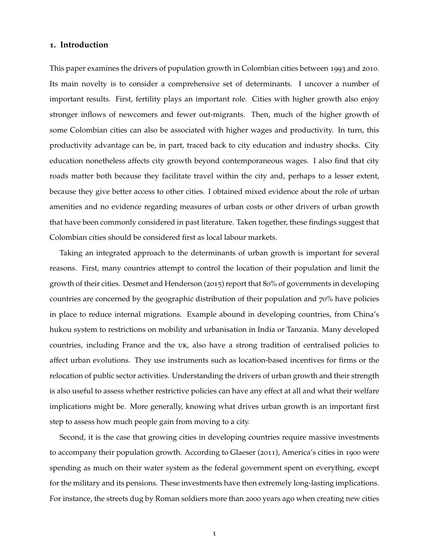#### **1. Introduction**

This paper examines the drivers of population growth in Colombian cities between 1993 and 2010. Its main novelty is to consider a comprehensive set of determinants. I uncover a number of important results. First, fertility plays an important role. Cities with higher growth also enjoy stronger inflows of newcomers and fewer out-migrants. Then, much of the higher growth of some Colombian cities can also be associated with higher wages and productivity. In turn, this productivity advantage can be, in part, traced back to city education and industry shocks. City education nonetheless affects city growth beyond contemporaneous wages. I also find that city roads matter both because they facilitate travel within the city and, perhaps to a lesser extent, because they give better access to other cities. I obtained mixed evidence about the role of urban amenities and no evidence regarding measures of urban costs or other drivers of urban growth that have been commonly considered in past literature. Taken together, these findings suggest that Colombian cities should be considered first as local labour markets.

Taking an integrated approach to the determinants of urban growth is important for several reasons. First, many countries attempt to control the location of their population and limit the growth of their cities. [Desmet and Henderson](#page-40-0) ([2015](#page-40-0)) report that 80% of governments in developing countries are concerned by the geographic distribution of their population and 70% have policies in place to reduce internal migrations. Example abound in developing countries, from China's hukou system to restrictions on mobility and urbanisation in India or Tanzania. Many developed countries, including France and the uk, also have a strong tradition of centralised policies to affect urban evolutions. They use instruments such as location-based incentives for firms or the relocation of public sector activities. Understanding the drivers of urban growth and their strength is also useful to assess whether restrictive policies can have any effect at all and what their welfare implications might be. More generally, knowing what drives urban growth is an important first step to assess how much people gain from moving to a city.

Second, it is the case that growing cities in developing countries require massive investments to accompany their population growth. According to [Glaeser](#page-40-1) ([2011](#page-40-1)), America's cities in 1900 were spending as much on their water system as the federal government spent on everything, except for the military and its pensions. These investments have then extremely long-lasting implications. For instance, the streets dug by Roman soldiers more than 2000 years ago when creating new cities

1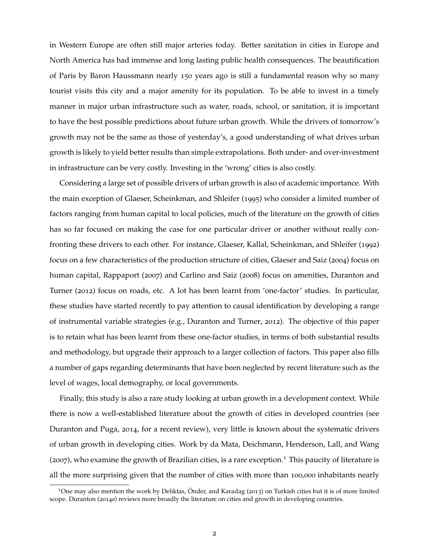in Western Europe are often still major arteries today. Better sanitation in cities in Europe and North America has had immense and long lasting public health consequences. The beautification of Paris by Baron Haussmann nearly 150 years ago is still a fundamental reason why so many tourist visits this city and a major amenity for its population. To be able to invest in a timely manner in major urban infrastructure such as water, roads, school, or sanitation, it is important to have the best possible predictions about future urban growth. While the drivers of tomorrow's growth may not be the same as those of yesterday's, a good understanding of what drives urban growth is likely to yield better results than simple extrapolations. Both under- and over-investment in infrastructure can be very costly. Investing in the 'wrong' cities is also costly.

Considering a large set of possible drivers of urban growth is also of academic importance. With the main exception of [Glaeser, Scheinkman, and Shleifer](#page-41-0) ([1995](#page-41-0)) who consider a limited number of factors ranging from human capital to local policies, much of the literature on the growth of cities has so far focused on making the case for one particular driver or another without really confronting these drivers to each other. For instance, [Glaeser, Kallal, Scheinkman, and Shleifer](#page-41-1) ([1992](#page-41-1)) focus on a few characteristics of the production structure of cities, [Glaeser and Saiz](#page-41-2) ([2004](#page-41-2)) focus on human capital, [Rappaport](#page-41-3) ([2007](#page-41-3)) and [Carlino and Saiz](#page-39-0) ([2008](#page-39-0)) focus on amenities, [Duranton and](#page-40-2) [Turner](#page-40-2) ([2012](#page-40-2)) focus on roads, etc. A lot has been learnt from 'one-factor' studies. In particular, these studies have started recently to pay attention to causal identification by developing a range of instrumental variable strategies (e.g., [Duranton and Turner,](#page-40-2) [2012](#page-40-2)). The objective of this paper is to retain what has been learnt from these one-factor studies, in terms of both substantial results and methodology, but upgrade their approach to a larger collection of factors. This paper also fills a number of gaps regarding determinants that have been neglected by recent literature such as the level of wages, local demography, or local governments.

Finally, this study is also a rare study looking at urban growth in a development context. While there is now a well-established literature about the growth of cities in developed countries (see [Duranton and Puga,](#page-40-3) [2014](#page-40-3), for a recent review), very little is known about the systematic drivers of urban growth in developing cities. Work by [da Mata, Deichmann, Henderson, Lall, and Wang](#page-40-4)  $(2007)$  $(2007)$  $(2007)$ , who examine the growth of Brazilian cities, is a rare exception.<sup>[1](#page-2-0)</sup> This paucity of literature is all the more surprising given that the number of cities with more than 100,000 inhabitants nearly

<span id="page-2-0"></span><sup>1</sup>One may also mention the work by [Deliktas, Önder, and Karadag](#page-40-5) ([2013](#page-40-5)) on Turkish cities but it is of more limited scope. [Duranton](#page-40-6) ([2014](#page-40-6)*a*) reviews more broadly the literature on cities and growth in developing countries.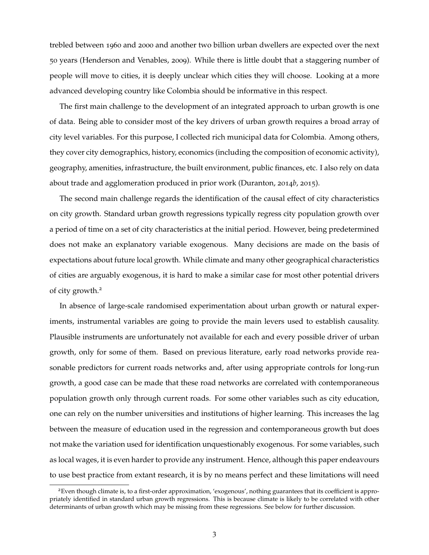trebled between 1960 and 2000 and another two billion urban dwellers are expected over the next 50 years [\(Henderson and Venables,](#page-41-4) [2009](#page-41-4)). While there is little doubt that a staggering number of people will move to cities, it is deeply unclear which cities they will choose. Looking at a more advanced developing country like Colombia should be informative in this respect.

The first main challenge to the development of an integrated approach to urban growth is one of data. Being able to consider most of the key drivers of urban growth requires a broad array of city level variables. For this purpose, I collected rich municipal data for Colombia. Among others, they cover city demographics, history, economics (including the composition of economic activity), geography, amenities, infrastructure, the built environment, public finances, etc. I also rely on data about trade and agglomeration produced in prior work [\(Duranton,](#page-40-7) [2014](#page-40-7)*b*, [2015](#page-40-8)).

The second main challenge regards the identification of the causal effect of city characteristics on city growth. Standard urban growth regressions typically regress city population growth over a period of time on a set of city characteristics at the initial period. However, being predetermined does not make an explanatory variable exogenous. Many decisions are made on the basis of expectations about future local growth. While climate and many other geographical characteristics of cities are arguably exogenous, it is hard to make a similar case for most other potential drivers of city growth.[2](#page-3-0)

In absence of large-scale randomised experimentation about urban growth or natural experiments, instrumental variables are going to provide the main levers used to establish causality. Plausible instruments are unfortunately not available for each and every possible driver of urban growth, only for some of them. Based on previous literature, early road networks provide reasonable predictors for current roads networks and, after using appropriate controls for long-run growth, a good case can be made that these road networks are correlated with contemporaneous population growth only through current roads. For some other variables such as city education, one can rely on the number universities and institutions of higher learning. This increases the lag between the measure of education used in the regression and contemporaneous growth but does not make the variation used for identification unquestionably exogenous. For some variables, such as local wages, it is even harder to provide any instrument. Hence, although this paper endeavours to use best practice from extant research, it is by no means perfect and these limitations will need

<span id="page-3-0"></span><sup>2</sup>Even though climate is, to a first-order approximation, 'exogenous', nothing guarantees that its coefficient is appropriately identified in standard urban growth regressions. This is because climate is likely to be correlated with other determinants of urban growth which may be missing from these regressions. See below for further discussion.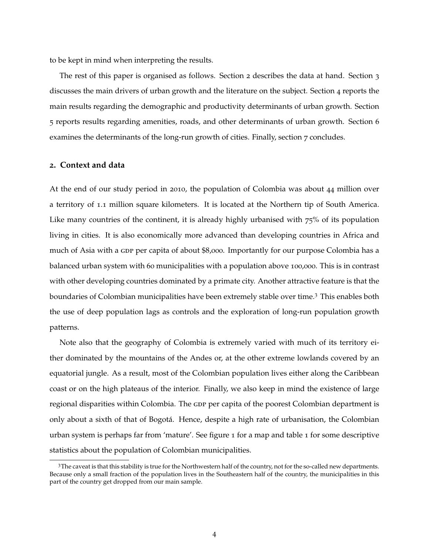to be kept in mind when interpreting the results.

The rest of this paper is organised as follows. Section [2](#page-4-0) describes the data at hand. Section [3](#page-8-0) discusses the main drivers of urban growth and the literature on the subject. Section [4](#page-15-0) reports the main results regarding the demographic and productivity determinants of urban growth. Section [5](#page-27-0) reports results regarding amenities, roads, and other determinants of urban growth. Section [6](#page-36-0) examines the determinants of the long-run growth of cities. Finally, section [7](#page-38-0) concludes.

## <span id="page-4-0"></span>**2. Context and data**

At the end of our study period in 2010, the population of Colombia was about 44 million over a territory of 1.1 million square kilometers. It is located at the Northern tip of South America. Like many countries of the continent, it is already highly urbanised with  $75\%$  of its population living in cities. It is also economically more advanced than developing countries in Africa and much of Asia with a GDP per capita of about \$8,000. Importantly for our purpose Colombia has a balanced urban system with 60 municipalities with a population above 100,000. This is in contrast with other developing countries dominated by a primate city. Another attractive feature is that the boundaries of Colombian municipalities have been extremely stable over time.[3](#page-4-1) This enables both the use of deep population lags as controls and the exploration of long-run population growth patterns.

Note also that the geography of Colombia is extremely varied with much of its territory either dominated by the mountains of the Andes or, at the other extreme lowlands covered by an equatorial jungle. As a result, most of the Colombian population lives either along the Caribbean coast or on the high plateaus of the interior. Finally, we also keep in mind the existence of large regional disparities within Colombia. The GDP per capita of the poorest Colombian department is only about a sixth of that of Bogotá. Hence, despite a high rate of urbanisation, the Colombian urban system is perhaps far from 'mature'. See figure [1](#page-5-0) for a map and table [1](#page-6-0) for some descriptive statistics about the population of Colombian municipalities.

<span id="page-4-1"></span><sup>&</sup>lt;sup>3</sup>The caveat is that this stability is true for the Northwestern half of the country, not for the so-called new departments. Because only a small fraction of the population lives in the Southeastern half of the country, the municipalities in this part of the country get dropped from our main sample.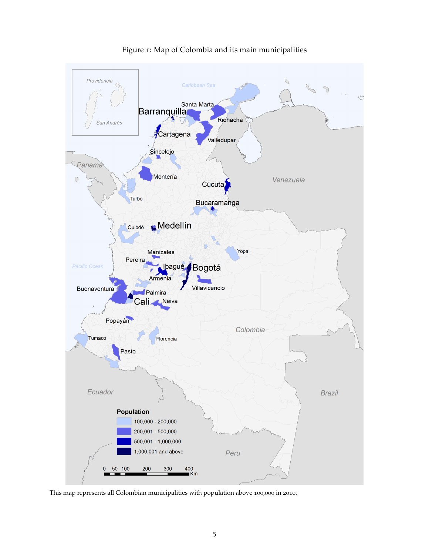

<span id="page-5-0"></span>Figure 1: Map of Colombia and its main municipalities

This map represents all Colombian municipalities with population above 100,000 in 2010.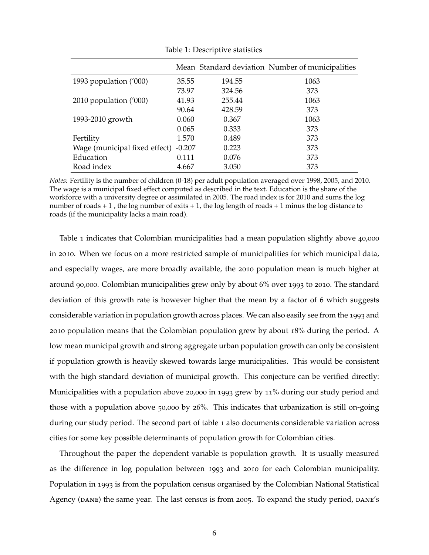|                               |          |        | Mean Standard deviation Number of municipalities |
|-------------------------------|----------|--------|--------------------------------------------------|
| 1993 population $(′000)$      | 35.55    | 194.55 | 1063                                             |
|                               | 73.97    | 324.56 | 373                                              |
| $2010$ population ( $'000$ )  | 41.93    | 255.44 | 1063                                             |
|                               | 90.64    | 428.59 | 373                                              |
| 1993-2010 growth              | 0.060    | 0.367  | 1063                                             |
|                               | 0.065    | 0.333  | 373                                              |
| Fertility                     | 1.570    | 0.489  | 373                                              |
| Wage (municipal fixed effect) | $-0.207$ | 0.223  | 373                                              |
| Education                     | 0.111    | 0.076  | 373                                              |
| Road index                    | 4.667    | 3.050  | 373                                              |

<span id="page-6-0"></span>Table 1: Descriptive statistics

*Notes:* Fertility is the number of children (0-18) per adult population averaged over 1998, 2005, and 2010. The wage is a municipal fixed effect computed as described in the text. Education is the share of the workforce with a university degree or assimilated in 2005. The road index is for 2010 and sums the log number of roads + 1 , the log number of exits + 1, the log length of roads + 1 minus the log distance to roads (if the municipality lacks a main road).

Table [1](#page-6-0) indicates that Colombian municipalities had a mean population slightly above 40,000 in 2010. When we focus on a more restricted sample of municipalities for which municipal data, and especially wages, are more broadly available, the 2010 population mean is much higher at around 90,000. Colombian municipalities grew only by about 6% over 1993 to 2010. The standard deviation of this growth rate is however higher that the mean by a factor of 6 which suggests considerable variation in population growth across places. We can also easily see from the 1993 and 2010 population means that the Colombian population grew by about 18% during the period. A low mean municipal growth and strong aggregate urban population growth can only be consistent if population growth is heavily skewed towards large municipalities. This would be consistent with the high standard deviation of municipal growth. This conjecture can be verified directly: Municipalities with a population above 20,000 in 1993 grew by 11% during our study period and those with a population above 50,000 by 26%. This indicates that urbanization is still on-going during our study period. The second part of table [1](#page-6-0) also documents considerable variation across cities for some key possible determinants of population growth for Colombian cities.

Throughout the paper the dependent variable is population growth. It is usually measured as the difference in log population between 1993 and 2010 for each Colombian municipality. Population in 1993 is from the population census organised by the Colombian National Statistical Agency ( $\Delta$ A) be same year. The last census is from 2005. To expand the study period,  $\Delta$  $\Delta$ NE's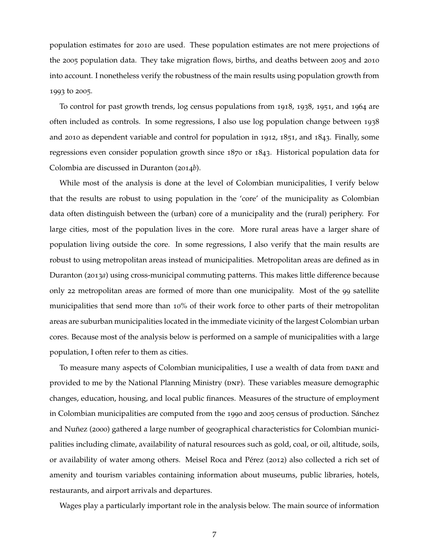population estimates for 2010 are used. These population estimates are not mere projections of the 2005 population data. They take migration flows, births, and deaths between 2005 and 2010 into account. I nonetheless verify the robustness of the main results using population growth from 1993 to 2005.

To control for past growth trends, log census populations from 1918, 1938, 1951, and 1964 are often included as controls. In some regressions, I also use log population change between 1938 and 2010 as dependent variable and control for population in 1912, 1851, and 1843. Finally, some regressions even consider population growth since 1870 or 1843. Historical population data for Colombia are discussed in [Duranton](#page-40-7) ([2014](#page-40-7)*b*).

While most of the analysis is done at the level of Colombian municipalities, I verify below that the results are robust to using population in the 'core' of the municipality as Colombian data often distinguish between the (urban) core of a municipality and the (rural) periphery. For large cities, most of the population lives in the core. More rural areas have a larger share of population living outside the core. In some regressions, I also verify that the main results are robust to using metropolitan areas instead of municipalities. Metropolitan areas are defined as in [Duranton](#page-40-9) ([2013](#page-40-9)*a*) using cross-municipal commuting patterns. This makes little difference because only 22 metropolitan areas are formed of more than one municipality. Most of the 99 satellite municipalities that send more than 10% of their work force to other parts of their metropolitan areas are suburban municipalities located in the immediate vicinity of the largest Colombian urban cores. Because most of the analysis below is performed on a sample of municipalities with a large population, I often refer to them as cities.

To measure many aspects of Colombian municipalities, I use a wealth of data from DANE and provided to me by the National Planning Ministry (DNP). These variables measure demographic changes, education, housing, and local public finances. Measures of the structure of employment in Colombian municipalities are computed from the 1990 and 2005 census of production. [Sánchez](#page-42-0) [and Nuñez](#page-42-0) ([2000](#page-42-0)) gathered a large number of geographical characteristics for Colombian municipalities including climate, availability of natural resources such as gold, coal, or oil, altitude, soils, or availability of water among others. [Meisel Roca and Pérez](#page-41-5) ([2012](#page-41-5)) also collected a rich set of amenity and tourism variables containing information about museums, public libraries, hotels, restaurants, and airport arrivals and departures.

Wages play a particularly important role in the analysis below. The main source of information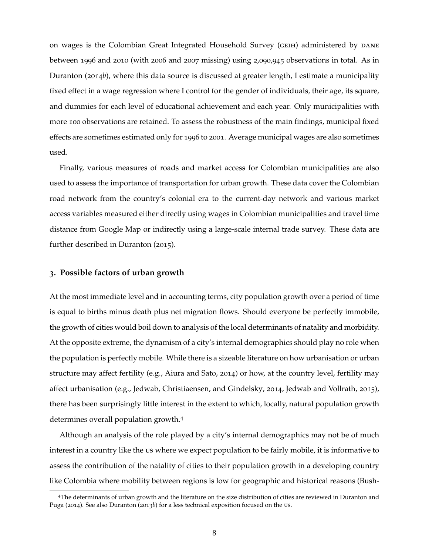on wages is the Colombian Great Integrated Household Survey (GEIH) administered by DANE between 1996 and 2010 (with 2006 and 2007 missing) using 2,090,945 observations in total. As in [Duranton](#page-40-7) ([2014](#page-40-7)*b*), where this data source is discussed at greater length, I estimate a municipality fixed effect in a wage regression where I control for the gender of individuals, their age, its square, and dummies for each level of educational achievement and each year. Only municipalities with more 100 observations are retained. To assess the robustness of the main findings, municipal fixed effects are sometimes estimated only for 1996 to 2001. Average municipal wages are also sometimes used.

Finally, various measures of roads and market access for Colombian municipalities are also used to assess the importance of transportation for urban growth. These data cover the Colombian road network from the country's colonial era to the current-day network and various market access variables measured either directly using wages in Colombian municipalities and travel time distance from Google Map or indirectly using a large-scale internal trade survey. These data are further described in [Duranton](#page-40-8) ([2015](#page-40-8)).

#### <span id="page-8-0"></span>**3. Possible factors of urban growth**

At the most immediate level and in accounting terms, city population growth over a period of time is equal to births minus death plus net migration flows. Should everyone be perfectly immobile, the growth of cities would boil down to analysis of the local determinants of natality and morbidity. At the opposite extreme, the dynamism of a city's internal demographics should play no role when the population is perfectly mobile. While there is a sizeable literature on how urbanisation or urban structure may affect fertility (e.g., [Aiura and Sato,](#page-39-1) [2014](#page-39-1)) or how, at the country level, fertility may affect urbanisation (e.g., [Jedwab, Christiaensen, and Gindelsky,](#page-41-6) [2014](#page-41-6), [Jedwab and Vollrath,](#page-41-7) [2015](#page-41-7)), there has been surprisingly little interest in the extent to which, locally, natural population growth determines overall population growth.[4](#page-8-1)

Although an analysis of the role played by a city's internal demographics may not be of much interest in a country like the us where we expect population to be fairly mobile, it is informative to assess the contribution of the natality of cities to their population growth in a developing country like Colombia where mobility between regions is low for geographic and historical reasons [\(Bush-](#page-39-2)

<span id="page-8-1"></span><sup>4</sup>[The determinants of urban growth and the literature on the size distribution of cities are reviewed in](#page-39-2) [Duranton and](#page-40-3) [Puga](#page-40-3) ([2014](#page-40-3)). See also [Duranton](#page-40-10) ([2013](#page-40-10)*b*[\) for a less technical exposition focused on the](#page-39-2) us.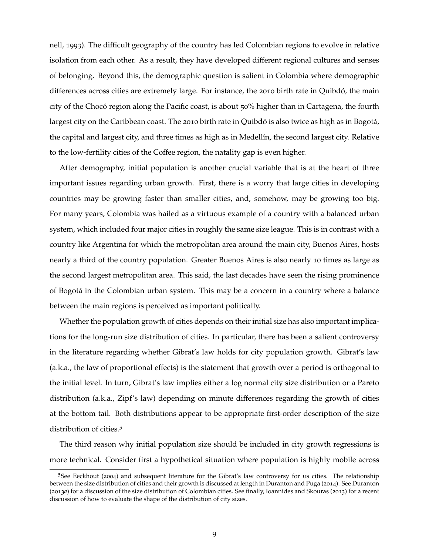[nell,](#page-39-2) [1993](#page-39-2)). The difficult geography of the country has led Colombian regions to evolve in relative isolation from each other. As a result, they have developed different regional cultures and senses of belonging. Beyond this, the demographic question is salient in Colombia where demographic differences across cities are extremely large. For instance, the 2010 birth rate in Quibdó, the main city of the Chocó region along the Pacific coast, is about 50% higher than in Cartagena, the fourth largest city on the Caribbean coast. The 2010 birth rate in Quibdó is also twice as high as in Bogotá, the capital and largest city, and three times as high as in Medellín, the second largest city. Relative to the low-fertility cities of the Coffee region, the natality gap is even higher.

After demography, initial population is another crucial variable that is at the heart of three important issues regarding urban growth. First, there is a worry that large cities in developing countries may be growing faster than smaller cities, and, somehow, may be growing too big. For many years, Colombia was hailed as a virtuous example of a country with a balanced urban system, which included four major cities in roughly the same size league. This is in contrast with a country like Argentina for which the metropolitan area around the main city, Buenos Aires, hosts nearly a third of the country population. Greater Buenos Aires is also nearly 10 times as large as the second largest metropolitan area. This said, the last decades have seen the rising prominence of Bogotá in the Colombian urban system. This may be a concern in a country where a balance between the main regions is perceived as important politically.

Whether the population growth of cities depends on their initial size has also important implications for the long-run size distribution of cities. In particular, there has been a salient controversy in the literature regarding whether Gibrat's law holds for city population growth. Gibrat's law (a.k.a., the law of proportional effects) is the statement that growth over a period is orthogonal to the initial level. In turn, Gibrat's law implies either a log normal city size distribution or a Pareto distribution (a.k.a., Zipf's law) depending on minute differences regarding the growth of cities at the bottom tail. Both distributions appear to be appropriate first-order description of the size distribution of cities.[5](#page-9-0)

The third reason why initial population size should be included in city growth regressions is more technical. Consider first a hypothetical situation where population is highly mobile across

<span id="page-9-0"></span><sup>5</sup>See [Eeckhout](#page-40-11) ([2004](#page-40-11)) and subsequent literature for the Gibrat's law controversy for us cities. The relationship between the size distribution of cities and their growth is discussed at length in [Duranton and Puga](#page-40-3) ([2014](#page-40-3)). See [Duranton](#page-40-9) ([2013](#page-40-9)*a*) for a discussion of the size distribution of Colombian cities. See finally, [Ioannides and Skouras](#page-41-8) ([2013](#page-41-8)) for a recent discussion of how to evaluate the shape of the distribution of city sizes.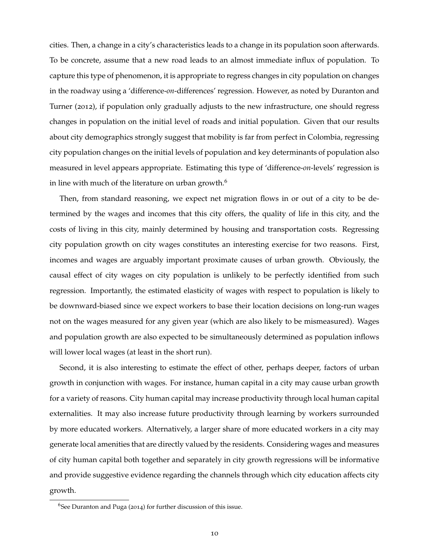cities. Then, a change in a city's characteristics leads to a change in its population soon afterwards. To be concrete, assume that a new road leads to an almost immediate influx of population. To capture this type of phenomenon, it is appropriate to regress changes in city population on changes in the roadway using a 'difference-*on*-differences' regression. However, as noted by [Duranton and](#page-40-2) [Turner](#page-40-2) ([2012](#page-40-2)), if population only gradually adjusts to the new infrastructure, one should regress changes in population on the initial level of roads and initial population. Given that our results about city demographics strongly suggest that mobility is far from perfect in Colombia, regressing city population changes on the initial levels of population and key determinants of population also measured in level appears appropriate. Estimating this type of 'difference-*on*-levels' regression is in line with much of the literature on urban growth.<sup>[6](#page-10-0)</sup>

Then, from standard reasoning, we expect net migration flows in or out of a city to be determined by the wages and incomes that this city offers, the quality of life in this city, and the costs of living in this city, mainly determined by housing and transportation costs. Regressing city population growth on city wages constitutes an interesting exercise for two reasons. First, incomes and wages are arguably important proximate causes of urban growth. Obviously, the causal effect of city wages on city population is unlikely to be perfectly identified from such regression. Importantly, the estimated elasticity of wages with respect to population is likely to be downward-biased since we expect workers to base their location decisions on long-run wages not on the wages measured for any given year (which are also likely to be mismeasured). Wages and population growth are also expected to be simultaneously determined as population inflows will lower local wages (at least in the short run).

Second, it is also interesting to estimate the effect of other, perhaps deeper, factors of urban growth in conjunction with wages. For instance, human capital in a city may cause urban growth for a variety of reasons. City human capital may increase productivity through local human capital externalities. It may also increase future productivity through learning by workers surrounded by more educated workers. Alternatively, a larger share of more educated workers in a city may generate local amenities that are directly valued by the residents. Considering wages and measures of city human capital both together and separately in city growth regressions will be informative and provide suggestive evidence regarding the channels through which city education affects city growth.

<span id="page-10-0"></span> $6$ See [Duranton and Puga](#page-40-3) ([2014](#page-40-3)) for further discussion of this issue.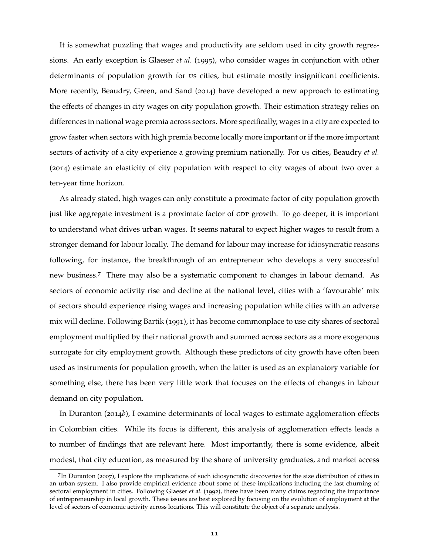It is somewhat puzzling that wages and productivity are seldom used in city growth regressions. An early exception is [Glaeser](#page-41-0) *et al.* ([1995](#page-41-0)), who consider wages in conjunction with other determinants of population growth for us cities, but estimate mostly insignificant coefficients. More recently, [Beaudry, Green, and Sand](#page-39-3) ([2014](#page-39-3)) have developed a new approach to estimating the effects of changes in city wages on city population growth. Their estimation strategy relies on differences in national wage premia across sectors. More specifically, wages in a city are expected to grow faster when sectors with high premia become locally more important or if the more important sectors of activity of a city experience a growing premium nationally. For us cities, [Beaudry](#page-39-3) *et al.* ([2014](#page-39-3)) estimate an elasticity of city population with respect to city wages of about two over a ten-year time horizon.

As already stated, high wages can only constitute a proximate factor of city population growth just like aggregate investment is a proximate factor of GDP growth. To go deeper, it is important to understand what drives urban wages. It seems natural to expect higher wages to result from a stronger demand for labour locally. The demand for labour may increase for idiosyncratic reasons following, for instance, the breakthrough of an entrepreneur who develops a very successful new business.[7](#page-11-0) There may also be a systematic component to changes in labour demand. As sectors of economic activity rise and decline at the national level, cities with a 'favourable' mix of sectors should experience rising wages and increasing population while cities with an adverse mix will decline. Following [Bartik](#page-39-4) ([1991](#page-39-4)), it has become commonplace to use city shares of sectoral employment multiplied by their national growth and summed across sectors as a more exogenous surrogate for city employment growth. Although these predictors of city growth have often been used as instruments for population growth, when the latter is used as an explanatory variable for something else, there has been very little work that focuses on the effects of changes in labour demand on city population.

In [Duranton](#page-40-7) ([2014](#page-40-7)*b*), I examine determinants of local wages to estimate agglomeration effects in Colombian cities. While its focus is different, this analysis of agglomeration effects leads a to number of findings that are relevant here. Most importantly, there is some evidence, albeit modest, that city education, as measured by the share of university graduates, and market access

<span id="page-11-0"></span><sup>7</sup> In [Duranton](#page-40-12) ([2007](#page-40-12)), I explore the implications of such idiosyncratic discoveries for the size distribution of cities in an urban system. I also provide empirical evidence about some of these implications including the fast churning of sectoral employment in cities. Following [Glaeser](#page-41-1) *et al.* ([1992](#page-41-1)), there have been many claims regarding the importance of entrepreneurship in local growth. These issues are best explored by focusing on the evolution of employment at the level of sectors of economic activity across locations. This will constitute the object of a separate analysis.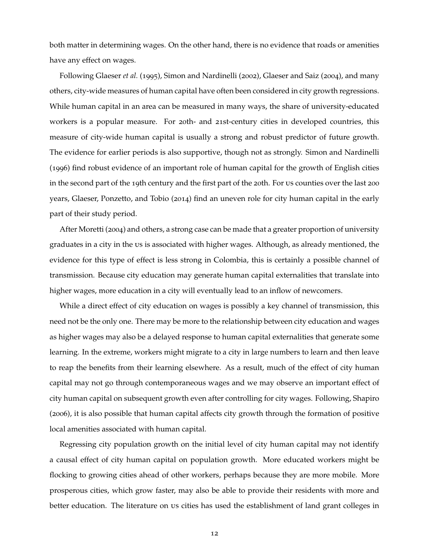both matter in determining wages. On the other hand, there is no evidence that roads or amenities have any effect on wages.

Following [Glaeser](#page-41-0) *et al.* ([1995](#page-41-0)), [Simon and Nardinelli](#page-42-1) ([2002](#page-42-1)), [Glaeser and Saiz](#page-41-2) ([2004](#page-41-2)), and many others, city-wide measures of human capital have often been considered in city growth regressions. While human capital in an area can be measured in many ways, the share of university-educated workers is a popular measure. For 20th- and 21st-century cities in developed countries, this measure of city-wide human capital is usually a strong and robust predictor of future growth. The evidence for earlier periods is also supportive, though not as strongly. [Simon and Nardinelli](#page-42-2) ([1996](#page-42-2)) find robust evidence of an important role of human capital for the growth of English cities in the second part of the 19th century and the first part of the 20th. For us counties over the last 200 years, [Glaeser, Ponzetto, and Tobio](#page-41-9) ([2014](#page-41-9)) find an uneven role for city human capital in the early part of their study period.

After [Moretti](#page-41-10) ([2004](#page-41-10)) and others, a strong case can be made that a greater proportion of university graduates in a city in the us is associated with higher wages. Although, as already mentioned, the evidence for this type of effect is less strong in Colombia, this is certainly a possible channel of transmission. Because city education may generate human capital externalities that translate into higher wages, more education in a city will eventually lead to an inflow of newcomers.

While a direct effect of city education on wages is possibly a key channel of transmission, this need not be the only one. There may be more to the relationship between city education and wages as higher wages may also be a delayed response to human capital externalities that generate some learning. In the extreme, workers might migrate to a city in large numbers to learn and then leave to reap the benefits from their learning elsewhere. As a result, much of the effect of city human capital may not go through contemporaneous wages and we may observe an important effect of city human capital on subsequent growth even after controlling for city wages. Following, [Shapiro](#page-42-3) ([2006](#page-42-3)), it is also possible that human capital affects city growth through the formation of positive local amenities associated with human capital.

Regressing city population growth on the initial level of city human capital may not identify a causal effect of city human capital on population growth. More educated workers might be flocking to growing cities ahead of other workers, perhaps because they are more mobile. More prosperous cities, which grow faster, may also be able to provide their residents with more and better education. The literature on us cities has used the establishment of land grant colleges in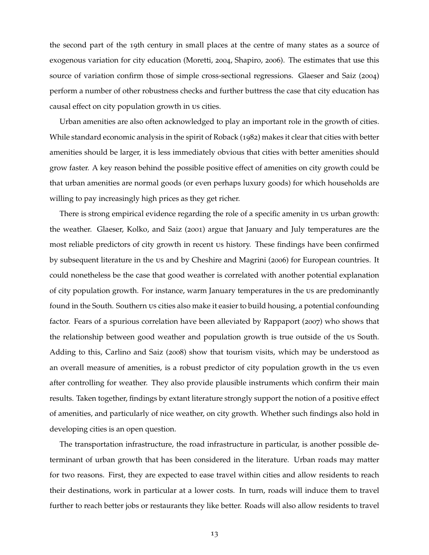the second part of the 19th century in small places at the centre of many states as a source of exogenous variation for city education [\(Moretti,](#page-41-10) [2004](#page-41-10), [Shapiro,](#page-42-3) [2006](#page-42-3)). The estimates that use this source of variation confirm those of simple cross-sectional regressions. [Glaeser and Saiz](#page-41-2) ([2004](#page-41-2)) perform a number of other robustness checks and further buttress the case that city education has causal effect on city population growth in us cities.

Urban amenities are also often acknowledged to play an important role in the growth of cities. While standard economic analysis in the spirit of [Roback](#page-42-4) ([1982](#page-42-4)) makes it clear that cities with better amenities should be larger, it is less immediately obvious that cities with better amenities should grow faster. A key reason behind the possible positive effect of amenities on city growth could be that urban amenities are normal goods (or even perhaps luxury goods) for which households are willing to pay increasingly high prices as they get richer.

There is strong empirical evidence regarding the role of a specific amenity in us urban growth: the weather. [Glaeser, Kolko, and Saiz](#page-41-11) ([2001](#page-41-11)) argue that January and July temperatures are the most reliable predictors of city growth in recent us history. These findings have been confirmed by subsequent literature in the us and by [Cheshire and Magrini](#page-39-5) ([2006](#page-39-5)) for European countries. It could nonetheless be the case that good weather is correlated with another potential explanation of city population growth. For instance, warm January temperatures in the us are predominantly found in the South. Southern us cities also make it easier to build housing, a potential confounding factor. Fears of a spurious correlation have been alleviated by [Rappaport](#page-41-3) ([2007](#page-41-3)) who shows that the relationship between good weather and population growth is true outside of the us South. Adding to this, [Carlino and Saiz](#page-39-0) ([2008](#page-39-0)) show that tourism visits, which may be understood as an overall measure of amenities, is a robust predictor of city population growth in the us even after controlling for weather. They also provide plausible instruments which confirm their main results. Taken together, findings by extant literature strongly support the notion of a positive effect of amenities, and particularly of nice weather, on city growth. Whether such findings also hold in developing cities is an open question.

The transportation infrastructure, the road infrastructure in particular, is another possible determinant of urban growth that has been considered in the literature. Urban roads may matter for two reasons. First, they are expected to ease travel within cities and allow residents to reach their destinations, work in particular at a lower costs. In turn, roads will induce them to travel further to reach better jobs or restaurants they like better. Roads will also allow residents to travel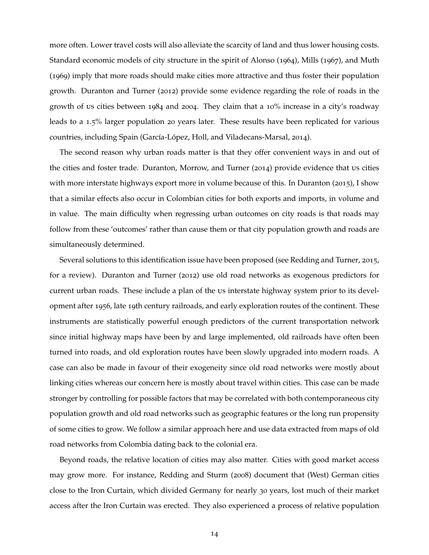more often. Lower travel costs will also alleviate the scarcity of land and thus lower housing costs. Standard economic models of city structure in the spirit of [Alonso](#page-39-6) ([1964](#page-39-6)), [Mills](#page-41-12) ([1967](#page-41-12)), and [Muth](#page-41-13) ([1969](#page-41-13)) imply that more roads should make cities more attractive and thus foster their population growth. [Duranton and Turner](#page-40-2) ([2012](#page-40-2)) provide some evidence regarding the role of roads in the growth of us cities between 1984 and 2004. They claim that a 10% increase in a city's roadway leads to a 1.5% larger population 20 years later. These results have been replicated for various countries, including Spain [\(García-López, Holl, and Viladecans-Marsal,](#page-40-13) [2014](#page-40-13)).

The second reason why urban roads matter is that they offer convenient ways in and out of the cities and foster trade. [Duranton, Morrow, and Turner](#page-40-14) ([2014](#page-40-14)) provide evidence that us cities with more interstate highways export more in volume because of this. In [Duranton](#page-40-8) ([2015](#page-40-8)), I show that a similar effects also occur in Colombian cities for both exports and imports, in volume and in value. The main difficulty when regressing urban outcomes on city roads is that roads may follow from these 'outcomes' rather than cause them or that city population growth and roads are simultaneously determined.

Several solutions to this identification issue have been proposed (see [Redding and Turner,](#page-41-14) [2015](#page-41-14), for a review). [Duranton and Turner](#page-40-2) ([2012](#page-40-2)) use old road networks as exogenous predictors for current urban roads. These include a plan of the us interstate highway system prior to its development after 1956, late 19th century railroads, and early exploration routes of the continent. These instruments are statistically powerful enough predictors of the current transportation network since initial highway maps have been by and large implemented, old railroads have often been turned into roads, and old exploration routes have been slowly upgraded into modern roads. A case can also be made in favour of their exogeneity since old road networks were mostly about linking cities whereas our concern here is mostly about travel within cities. This case can be made stronger by controlling for possible factors that may be correlated with both contemporaneous city population growth and old road networks such as geographic features or the long run propensity of some cities to grow. We follow a similar approach here and use data extracted from maps of old road networks from Colombia dating back to the colonial era.

Beyond roads, the relative location of cities may also matter. Cities with good market access may grow more. For instance, [Redding and Sturm](#page-41-15) ([2008](#page-41-15)) document that (West) German cities close to the Iron Curtain, which divided Germany for nearly 30 years, lost much of their market access after the Iron Curtain was erected. They also experienced a process of relative population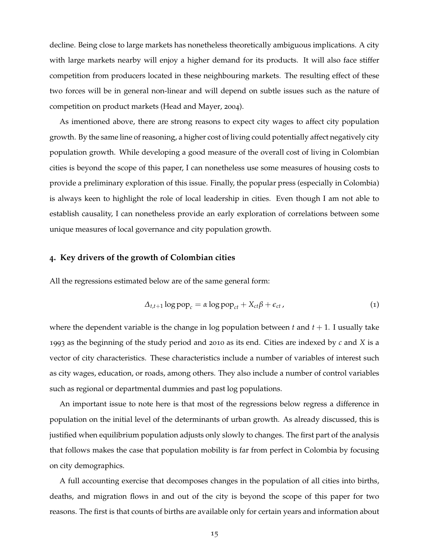decline. Being close to large markets has nonetheless theoretically ambiguous implications. A city with large markets nearby will enjoy a higher demand for its products. It will also face stiffer competition from producers located in these neighbouring markets. The resulting effect of these two forces will be in general non-linear and will depend on subtle issues such as the nature of competition on product markets [\(Head and Mayer,](#page-41-16) [2004](#page-41-16)).

As imentioned above, there are strong reasons to expect city wages to affect city population growth. By the same line of reasoning, a higher cost of living could potentially affect negatively city population growth. While developing a good measure of the overall cost of living in Colombian cities is beyond the scope of this paper, I can nonetheless use some measures of housing costs to provide a preliminary exploration of this issue. Finally, the popular press (especially in Colombia) is always keen to highlight the role of local leadership in cities. Even though I am not able to establish causality, I can nonetheless provide an early exploration of correlations between some unique measures of local governance and city population growth.

### <span id="page-15-0"></span>**4. Key drivers of the growth of Colombian cities**

All the regressions estimated below are of the same general form:

<span id="page-15-1"></span>
$$
\Delta_{t,t+1} \log \text{pop}_c = \alpha \log \text{pop}_{ct} + X_{ct}\beta + \epsilon_{ct}, \qquad (1)
$$

where the dependent variable is the change in log population between  $t$  and  $t + 1$ . I usually take 1993 as the beginning of the study period and 2010 as its end. Cities are indexed by *c* and *X* is a vector of city characteristics. These characteristics include a number of variables of interest such as city wages, education, or roads, among others. They also include a number of control variables such as regional or departmental dummies and past log populations.

An important issue to note here is that most of the regressions below regress a difference in population on the initial level of the determinants of urban growth. As already discussed, this is justified when equilibrium population adjusts only slowly to changes. The first part of the analysis that follows makes the case that population mobility is far from perfect in Colombia by focusing on city demographics.

A full accounting exercise that decomposes changes in the population of all cities into births, deaths, and migration flows in and out of the city is beyond the scope of this paper for two reasons. The first is that counts of births are available only for certain years and information about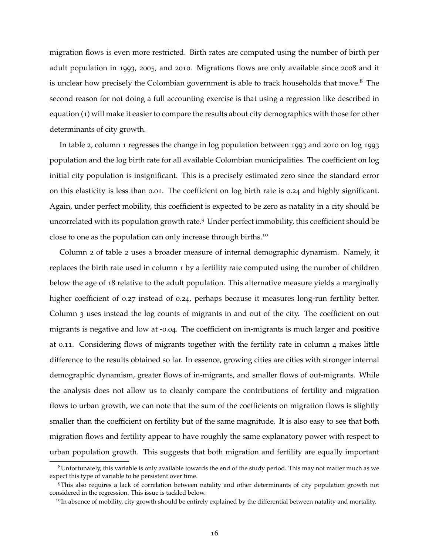migration flows is even more restricted. Birth rates are computed using the number of birth per adult population in 1993, 2005, and 2010. Migrations flows are only available since 2008 and it is unclear how precisely the Colombian government is able to track households that move. $8$  The second reason for not doing a full accounting exercise is that using a regression like described in equation ([1](#page-15-1)) will make it easier to compare the results about city demographics with those for other determinants of city growth.

In table [2](#page-17-0), column 1 regresses the change in log population between 1993 and 2010 on log 1993 population and the log birth rate for all available Colombian municipalities. The coefficient on log initial city population is insignificant. This is a precisely estimated zero since the standard error on this elasticity is less than 0.01. The coefficient on log birth rate is 0.24 and highly significant. Again, under perfect mobility, this coefficient is expected to be zero as natality in a city should be uncorrelated with its population growth rate.<sup>[9](#page-16-1)</sup> Under perfect immobility, this coefficient should be close to one as the population can only increase through births.[10](#page-16-2)

Column 2 of table [2](#page-17-0) uses a broader measure of internal demographic dynamism. Namely, it replaces the birth rate used in column 1 by a fertility rate computed using the number of children below the age of 18 relative to the adult population. This alternative measure yields a marginally higher coefficient of 0.27 instead of 0.24, perhaps because it measures long-run fertility better. Column 3 uses instead the log counts of migrants in and out of the city. The coefficient on out migrants is negative and low at -0.04. The coefficient on in-migrants is much larger and positive at 0.11. Considering flows of migrants together with the fertility rate in column 4 makes little difference to the results obtained so far. In essence, growing cities are cities with stronger internal demographic dynamism, greater flows of in-migrants, and smaller flows of out-migrants. While the analysis does not allow us to cleanly compare the contributions of fertility and migration flows to urban growth, we can note that the sum of the coefficients on migration flows is slightly smaller than the coefficient on fertility but of the same magnitude. It is also easy to see that both migration flows and fertility appear to have roughly the same explanatory power with respect to urban population growth. This suggests that both migration and fertility are equally important

<span id="page-16-0"></span><sup>8</sup>Unfortunately, this variable is only available towards the end of the study period. This may not matter much as we expect this type of variable to be persistent over time.

<span id="page-16-1"></span><sup>9</sup>This also requires a lack of correlation between natality and other determinants of city population growth not considered in the regression. This issue is tackled below.

<span id="page-16-2"></span> $10$ In absence of mobility, city growth should be entirely explained by the differential between natality and mortality.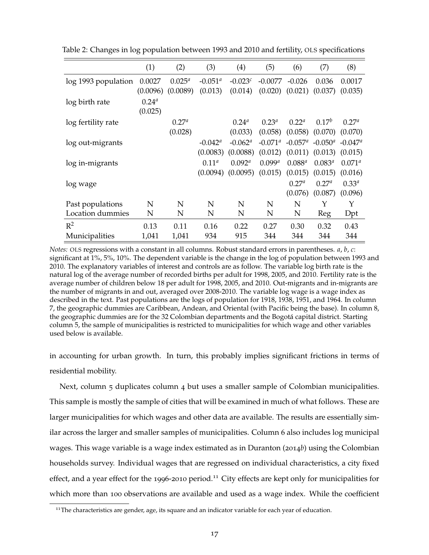|                     | (1)        | (2)         | (3)                 | (4)                  | (5)            | (6)            | (7)               | (8)             |
|---------------------|------------|-------------|---------------------|----------------------|----------------|----------------|-------------------|-----------------|
| log 1993 population | 0.0027     | $0.025^{a}$ | $-0.051^a$          | $-0.023^{c}$         | $-0.0077$      | $-0.026$       | 0.036             | 0.0017          |
|                     | (0.0096)   | (0.0089)    | (0.013)             | (0.014)              | (0.020)        | (0.021)        | (0.037)           | (0.035)         |
| log birth rate      | $0.24^{a}$ |             |                     |                      |                |                |                   |                 |
|                     | (0.025)    |             |                     |                      |                |                |                   |                 |
| log fertility rate  |            | $0.27^a$    |                     | $0.24^{a}$           | $0.23^{a}$     | $0.22^{\circ}$ | $0.17^{b}$        | $0.27^{\circ}$  |
|                     |            | (0.028)     |                     | (0.033)              | (0.058)        | (0.058)        | (0.070)           | (0.070)         |
| log out-migrants    |            |             | $-0.042^{\alpha}$   | $-0.062a$            | $-0.071^{\mu}$ | $-0.057^a$     | $-0.050^a$        | $-0.047^a$      |
|                     |            |             | (0.0083)            | (0.0088)             | (0.012)        | (0.011)        | (0.013)           | (0.015)         |
| log in-migrants     |            |             | $0.11^{\textit{a}}$ | $0.092^{\textit{a}}$ | $0.099^{a}$    | $0.088^{a}$    | $0.083^{a}$       | $0.071^{\circ}$ |
|                     |            |             | (0.0094)            | (0.0095)             | (0.015)        | (0.015)        | (0.015)           | (0.016)         |
| log wage            |            |             |                     |                      |                | $0.27^{\circ}$ | 0.27 <sup>a</sup> | $0.33^{a}$      |
|                     |            |             |                     |                      |                | (0.076)        | (0.087)           | (0.096)         |
| Past populations    | N          | N           | N                   | N                    | N              | N              | Y                 | Y               |
| Location dummies    | N          | N           | N                   | N                    | N              | N              | Reg               | Dpt             |
| $R^2$               | 0.13       | 0.11        | 0.16                | 0.22                 | 0.27           | 0.30           | 0.32              | 0.43            |
| Municipalities      | 1,041      | 1,041       | 934                 | 915                  | 344            | 344            | 344               | 344             |

<span id="page-17-0"></span>Table 2: Changes in log population between 1993 and 2010 and fertility, OLS specifications

*Notes:* OLS regressions with a constant in all columns. Robust standard errors in parentheses. *a*, *b*, *c*: significant at 1%, 5%, 10%. The dependent variable is the change in the log of population between 1993 and 2010. The explanatory variables of interest and controls are as follow. The variable log birth rate is the natural log of the average number of recorded births per adult for 1998, 2005, and 2010. Fertility rate is the average number of children below 18 per adult for 1998, 2005, and 2010. Out-migrants and in-migrants are the number of migrants in and out, averaged over 2008-2010. The variable log wage is a wage index as described in the text. Past populations are the logs of population for 1918, 1938, 1951, and 1964. In column 7, the geographic dummies are Caribbean, Andean, and Oriental (with Pacific being the base). In column 8, the geographic dummies are for the 32 Colombian departments and the Bogotá capital district. Starting column 5, the sample of municipalities is restricted to municipalities for which wage and other variables used below is available.

in accounting for urban growth. In turn, this probably implies significant frictions in terms of residential mobility.

Next, column 5 duplicates column 4 but uses a smaller sample of Colombian municipalities. This sample is mostly the sample of cities that will be examined in much of what follows. These are larger municipalities for which wages and other data are available. The results are essentially similar across the larger and smaller samples of municipalities. Column 6 also includes log municipal wages. This wage variable is a wage index estimated as in [Duranton](#page-40-7) ([2014](#page-40-7)*b*) using the Colombian households survey. Individual wages that are regressed on individual characteristics, a city fixed effect, and a year effect for the 1996-2010 period.<sup>[11](#page-17-1)</sup> City effects are kept only for municipalities for which more than 100 observations are available and used as a wage index. While the coefficient

<span id="page-17-1"></span> $11$ The characteristics are gender, age, its square and an indicator variable for each year of education.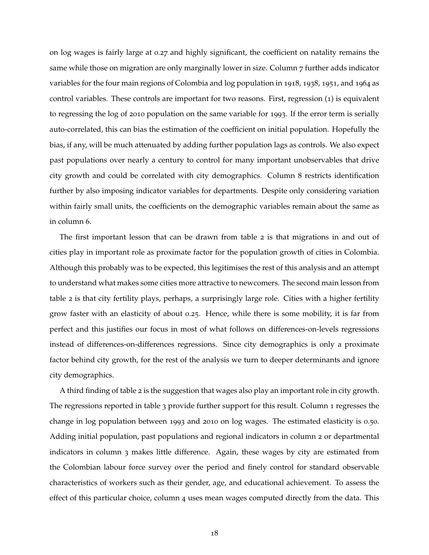on log wages is fairly large at 0.27 and highly significant, the coefficient on natality remains the same while those on migration are only marginally lower in size. Column 7 further adds indicator variables for the four main regions of Colombia and log population in 1918, 1938, 1951, and 1964 as control variables. These controls are important for two reasons. First, regression ([1](#page-15-1)) is equivalent to regressing the log of 2010 population on the same variable for 1993. If the error term is serially auto-correlated, this can bias the estimation of the coefficient on initial population. Hopefully the bias, if any, will be much attenuated by adding further population lags as controls. We also expect past populations over nearly a century to control for many important unobservables that drive city growth and could be correlated with city demographics. Column 8 restricts identification further by also imposing indicator variables for departments. Despite only considering variation within fairly small units, the coefficients on the demographic variables remain about the same as in column 6.

The first important lesson that can be drawn from table [2](#page-17-0) is that migrations in and out of cities play in important role as proximate factor for the population growth of cities in Colombia. Although this probably was to be expected, this legitimises the rest of this analysis and an attempt to understand what makes some cities more attractive to newcomers. The second main lesson from table [2](#page-17-0) is that city fertility plays, perhaps, a surprisingly large role. Cities with a higher fertility grow faster with an elasticity of about 0.25. Hence, while there is some mobility, it is far from perfect and this justifies our focus in most of what follows on differences-on-levels regressions instead of differences-on-differences regressions. Since city demographics is only a proximate factor behind city growth, for the rest of the analysis we turn to deeper determinants and ignore city demographics.

A third finding of table [2](#page-17-0) is the suggestion that wages also play an important role in city growth. The regressions reported in table [3](#page-19-0) provide further support for this result. Column 1 regresses the change in log population between 1993 and 2010 on log wages. The estimated elasticity is 0.50. Adding initial population, past populations and regional indicators in column 2 or departmental indicators in column 3 makes little difference. Again, these wages by city are estimated from the Colombian labour force survey over the period and finely control for standard observable characteristics of workers such as their gender, age, and educational achievement. To assess the effect of this particular choice, column 4 uses mean wages computed directly from the data. This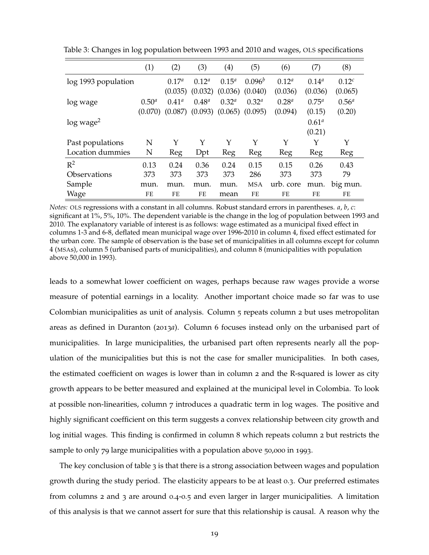|                          | (1)        | (2)            | (3)               | (4)        | (5)        | (6)        | (7)            | (8)               |
|--------------------------|------------|----------------|-------------------|------------|------------|------------|----------------|-------------------|
| log 1993 population      |            | $0.17^a$       | 0.12 <sup>a</sup> | $0.15^{a}$ | $0.096^b$  | $0.12^{a}$ | $0.14^{a}$     | 0.12 <sup>c</sup> |
|                          |            | (0.035)        | (0.032)           | (0.036)    | (0.040)    | (0.036)    | (0.036)        | (0.065)           |
| log wage                 | $0.50^{a}$ | $0.41^{\circ}$ | $0.48^{a}$        | $0.32^{a}$ | $0.32^{a}$ | $0.28^{a}$ | $0.75^{a}$     | $0.56^{a}$        |
|                          | (0.070)    | (0.087)        | (0.093)           | (0.065)    | (0.095)    | (0.094)    | (0.15)         | (0.20)            |
| $\log$ wage <sup>2</sup> |            |                |                   |            |            |            | $0.61^{\circ}$ |                   |
|                          |            |                |                   |            |            |            | (0.21)         |                   |
| Past populations         | N          | Y              | Y                 | Y          | Υ          | Υ          | Υ              | Y                 |
| Location dummies         | N          | Reg            | Dpt               | Reg        | Reg        | Reg        | Reg            | Reg               |
| $R^2$                    | 0.13       | 0.24           | 0.36              | 0.24       | 0.15       | 0.15       | 0.26           | 0.43              |
| Observations             | 373        | 373            | 373               | 373        | 286        | 373        | 373            | 79                |
| Sample                   | mun.       | mun.           | mun.              | mun.       | <b>MSA</b> | urb. core  | mun.           | big mun.          |
| Wage                     | FE         | FE             | FE                | mean       | FE         | FE         | FE             | FE                |

<span id="page-19-0"></span>Table 3: Changes in log population between 1993 and 2010 and wages, OLS specifications

*Notes:* OLS regressions with a constant in all columns. Robust standard errors in parentheses. *a*, *b*, *c*: significant at 1%, 5%, 10%. The dependent variable is the change in the log of population between 1993 and 2010. The explanatory variable of interest is as follows: wage estimated as a municipal fixed effect in columns 1-3 and 6-8, deflated mean municipal wage over 1996-2010 in column 4, fixed effect estimated for the urban core. The sample of observation is the base set of municipalities in all columns except for column 4 (MSAs), column 5 (urbanised parts of municipalities), and column 8 (municipalities with population above 50,000 in 1993).

leads to a somewhat lower coefficient on wages, perhaps because raw wages provide a worse measure of potential earnings in a locality. Another important choice made so far was to use Colombian municipalities as unit of analysis. Column 5 repeats column 2 but uses metropolitan areas as defined in [Duranton](#page-40-9) ([2013](#page-40-9)*a*). Column 6 focuses instead only on the urbanised part of municipalities. In large municipalities, the urbanised part often represents nearly all the population of the municipalities but this is not the case for smaller municipalities. In both cases, the estimated coefficient on wages is lower than in column 2 and the R-squared is lower as city growth appears to be better measured and explained at the municipal level in Colombia. To look at possible non-linearities, column 7 introduces a quadratic term in log wages. The positive and highly significant coefficient on this term suggests a convex relationship between city growth and log initial wages. This finding is confirmed in column 8 which repeats column 2 but restricts the sample to only 79 large municipalities with a population above 50,000 in 1993.

The key conclusion of table  $3$  is that there is a strong association between wages and population growth during the study period. The elasticity appears to be at least 0.3. Our preferred estimates from columns 2 and 3 are around 0.4-0.5 and even larger in larger municipalities. A limitation of this analysis is that we cannot assert for sure that this relationship is causal. A reason why the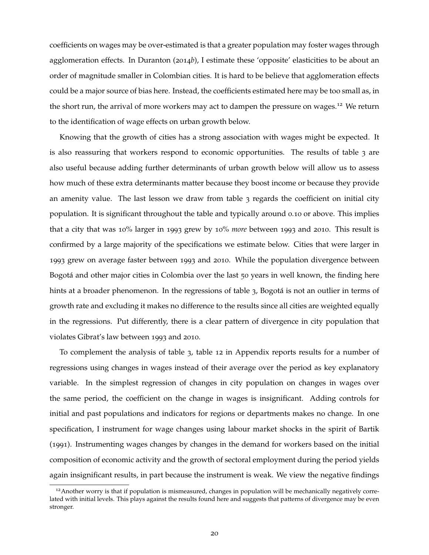coefficients on wages may be over-estimated is that a greater population may foster wages through agglomeration effects. In [Duranton](#page-40-7) ([2014](#page-40-7)*b*), I estimate these 'opposite' elasticities to be about an order of magnitude smaller in Colombian cities. It is hard to be believe that agglomeration effects could be a major source of bias here. Instead, the coefficients estimated here may be too small as, in the short run, the arrival of more workers may act to dampen the pressure on wages.<sup>[12](#page-20-0)</sup> We return to the identification of wage effects on urban growth below.

Knowing that the growth of cities has a strong association with wages might be expected. It is also reassuring that workers respond to economic opportunities. The results of table  $\beta$  are also useful because adding further determinants of urban growth below will allow us to assess how much of these extra determinants matter because they boost income or because they provide an amenity value. The last lesson we draw from table [3](#page-19-0) regards the coefficient on initial city population. It is significant throughout the table and typically around 0.10 or above. This implies that a city that was 10% larger in 1993 grew by 10% *more* between 1993 and 2010. This result is confirmed by a large majority of the specifications we estimate below. Cities that were larger in 1993 grew on average faster between 1993 and 2010. While the population divergence between Bogotá and other major cities in Colombia over the last 50 years in well known, the finding here hints at a broader phenomenon. In the regressions of table [3](#page-19-0), Bogotá is not an outlier in terms of growth rate and excluding it makes no difference to the results since all cities are weighted equally in the regressions. Put differently, there is a clear pattern of divergence in city population that violates Gibrat's law between 1993 and 2010.

To complement the analysis of table [3](#page-19-0), table [12](#page-42-5) in Appendix reports results for a number of regressions using changes in wages instead of their average over the period as key explanatory variable. In the simplest regression of changes in city population on changes in wages over the same period, the coefficient on the change in wages is insignificant. Adding controls for initial and past populations and indicators for regions or departments makes no change. In one specification, I instrument for wage changes using labour market shocks in the spirit of [Bartik](#page-39-4) ([1991](#page-39-4)). Instrumenting wages changes by changes in the demand for workers based on the initial composition of economic activity and the growth of sectoral employment during the period yields again insignificant results, in part because the instrument is weak. We view the negative findings

<span id="page-20-0"></span> $12A$ nother worry is that if population is mismeasured, changes in population will be mechanically negatively correlated with initial levels. This plays against the results found here and suggests that patterns of divergence may be even stronger.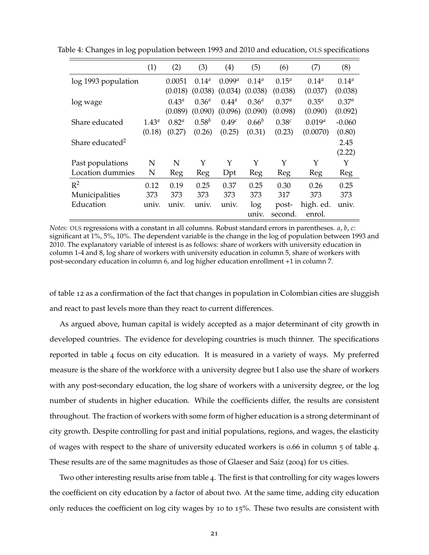<span id="page-21-0"></span>

|                             | (1)        | (2)        | (3)        | (4)               | (5)        | (6)               | (7)         | (8)        |
|-----------------------------|------------|------------|------------|-------------------|------------|-------------------|-------------|------------|
| log 1993 population         |            | 0.0051     | $0.14^{a}$ | $0.099^{a}$       | $0.14^{a}$ | $0.15^{a}$        | $0.14^{a}$  | $0.14^{a}$ |
|                             |            | (0.018)    | (0.038)    | (0.034)           | (0.038)    | (0.038)           | (0.037)     | (0.038)    |
| log wage                    |            | $0.43^{a}$ | $0.36^{a}$ | $0.44^{a}$        | $0.36^{a}$ | $0.37^{a}$        | $0.35^{a}$  | $0.37^{a}$ |
|                             |            | (0.089)    | (0.090)    | (0.096)           | (0.090)    | (0.098)           | (0.090)     | (0.092)    |
| Share educated              | $1.43^{a}$ | $0.82^{a}$ | $0.58^b$   | 0.49 <sup>c</sup> | $0.66^{b}$ | 0.38 <sup>c</sup> | $0.019^{a}$ | $-0.060$   |
|                             | (0.18)     | (0.27)     | (0.26)     | (0.25)            | (0.31)     | (0.23)            | (0.0070)    | (0.80)     |
| Share educated <sup>2</sup> |            |            |            |                   |            |                   |             | 2.45       |
|                             |            |            |            |                   |            |                   |             | (2.22)     |
| Past populations            | N          | N          | Y          | Y                 | Y          | Y                 | Υ           | Y          |
| Location dummies            | N          | Reg        | Reg        | Dpt               | Reg        | Reg               | Reg         | Reg        |
| $R^2$                       | 0.12       | 0.19       | 0.25       | 0.37              | 0.25       | 0.30              | 0.26        | 0.25       |
| Municipalities              | 373        | 373        | 373        | 373               | 373        | 317               | 373         | 373        |
| Education                   | univ.      | univ.      | univ.      | univ.             | log        | post-             | high. ed.   | univ.      |
|                             |            |            |            |                   | univ.      | second.           | enrol.      |            |

Table 4: Changes in log population between 1993 and 2010 and education, OLS specifications

*Notes:* OLS regressions with a constant in all columns. Robust standard errors in parentheses. *a*, *b*, *c*: significant at 1%, 5%, 10%. The dependent variable is the change in the log of population between 1993 and 2010. The explanatory variable of interest is as follows: share of workers with university education in column 1-4 and 8, log share of workers with university education in column 5, share of workers with post-secondary education in column 6, and log higher education enrollment +1 in column 7.

of table [12](#page-42-5) as a confirmation of the fact that changes in population in Colombian cities are sluggish and react to past levels more than they react to current differences.

As argued above, human capital is widely accepted as a major determinant of city growth in developed countries. The evidence for developing countries is much thinner. The specifications reported in table [4](#page-21-0) focus on city education. It is measured in a variety of ways. My preferred measure is the share of the workforce with a university degree but I also use the share of workers with any post-secondary education, the log share of workers with a university degree, or the log number of students in higher education. While the coefficients differ, the results are consistent throughout. The fraction of workers with some form of higher education is a strong determinant of city growth. Despite controlling for past and initial populations, regions, and wages, the elasticity of wages with respect to the share of university educated workers is 0.66 in column 5 of table [4](#page-21-0). These results are of the same magnitudes as those of [Glaeser and Saiz](#page-41-2) ([2004](#page-41-2)) for us cities.

Two other interesting results arise from table [4](#page-21-0). The first is that controlling for city wages lowers the coefficient on city education by a factor of about two. At the same time, adding city education only reduces the coefficient on log city wages by 10 to 15%. These two results are consistent with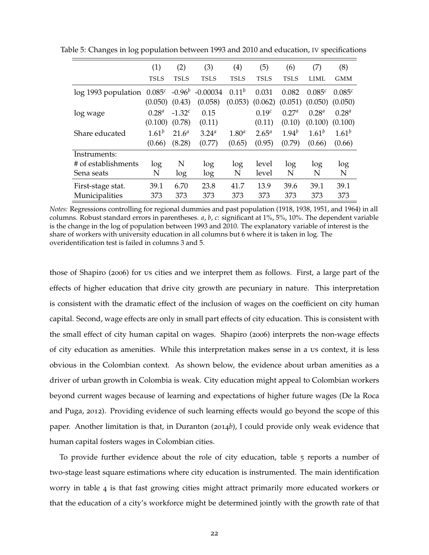<span id="page-22-0"></span>

|                     | (1)         | (2)         | (3)         | $\left( 4\right)$ | (5)               | (6)               | (7)        | (8)         |
|---------------------|-------------|-------------|-------------|-------------------|-------------------|-------------------|------------|-------------|
|                     | <b>TSLS</b> | <b>TSLS</b> | <b>TSLS</b> | <b>TSLS</b>       | <b>TSLS</b>       | <b>TSLS</b>       | LIML       | <b>GMM</b>  |
| log 1993 population | $0.085^c$   | $-0.96^b$   | $-0.00034$  | $0.11^{b}$        | 0.031             | 0.082             | $0.085^c$  | $0.085^{c}$ |
|                     | (0.050)     | (0.43)      | (0.058)     | (0.053)           | (0.062)           | (0.051)           | (0.050)    | (0.050)     |
| log wage            | $0.28^{a}$  | $-1.32^{c}$ | 0.15        |                   | 0.19 <sup>c</sup> | 0.27 <sup>a</sup> | $0.28^{a}$ | $0.28^{a}$  |
|                     | (0.100)     | (0.78)      | (0.11)      |                   | (0.11)            | (0.10)            | (0.100)    | (0.100)     |
| Share educated      | $1.61^{b}$  | $21.6^a$    | $3.24^{a}$  | $1.80^{a}$        | $2.65^{\circ}$    | $1.94^{b}$        | $1.61^{b}$ | $1.61^{b}$  |
|                     | (0.66)      | (8.28)      | (0.77)      | (0.65)            | (0.95)            | (0.79)            | (0.66)     | (0.66)      |
| Instruments:        |             |             |             |                   |                   |                   |            |             |
| # of establishments | log         | N           | log         | log               | level             | log               | log        | log         |
| Sena seats          | N           | log         | log         | N                 | level             | N                 | N          | N           |
| First-stage stat.   | 39.1        | 6.70        | 23.8        | 41.7              | 13.9              | 39.6              | 39.1       | 39.1        |
| Municipalities      | 373         | 373         | 373         | 373               | 373               | 373               | 373        | 373         |

Table 5: Changes in log population between 1993 and 2010 and education, IV specifications

*Notes:* Regressions controlling for regional dummies and past population (1918, 1938, 1951, and 1964) in all columns. Robust standard errors in parentheses. *a*, *b*, *c*: significant at 1%, 5%, 10%. The dependent variable is the change in the log of population between 1993 and 2010. The explanatory variable of interest is the share of workers with university education in all columns but 6 where it is taken in log. The overidentification test is failed in columns 3 and 5.

those of [Shapiro](#page-42-3) ([2006](#page-42-3)) for us cities and we interpret them as follows. First, a large part of the effects of higher education that drive city growth are pecuniary in nature. This interpretation is consistent with the dramatic effect of the inclusion of wages on the coefficient on city human capital. Second, wage effects are only in small part effects of city education. This is consistent with the small effect of city human capital on wages. [Shapiro](#page-42-3) ([2006](#page-42-3)) interprets the non-wage effects of city education as amenities. While this interpretation makes sense in a us context, it is less obvious in the Colombian context. As shown below, the evidence about urban amenities as a driver of urban growth in Colombia is weak. City education might appeal to Colombian workers beyond current wages because of learning and expectations of higher future wages [\(De la Roca](#page-40-15) [and Puga,](#page-40-15) [2012](#page-40-15)). Providing evidence of such learning effects would go beyond the scope of this paper. Another limitation is that, in [Duranton](#page-40-7) ([2014](#page-40-7)*b*), I could provide only weak evidence that human capital fosters wages in Colombian cities.

To provide further evidence about the role of city education, table [5](#page-22-0) reports a number of two-stage least square estimations where city education is instrumented. The main identification worry in table [4](#page-21-0) is that fast growing cities might attract primarily more educated workers or that the education of a city's workforce might be determined jointly with the growth rate of that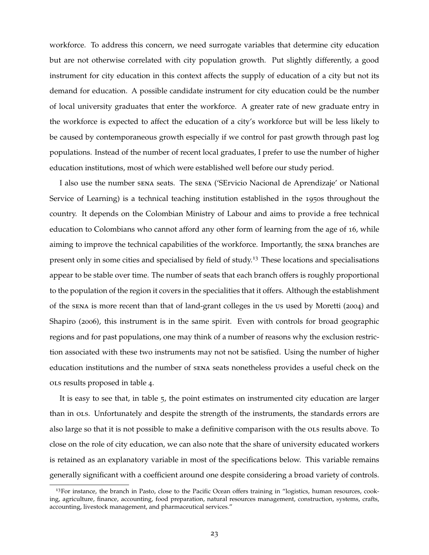workforce. To address this concern, we need surrogate variables that determine city education but are not otherwise correlated with city population growth. Put slightly differently, a good instrument for city education in this context affects the supply of education of a city but not its demand for education. A possible candidate instrument for city education could be the number of local university graduates that enter the workforce. A greater rate of new graduate entry in the workforce is expected to affect the education of a city's workforce but will be less likely to be caused by contemporaneous growth especially if we control for past growth through past log populations. Instead of the number of recent local graduates, I prefer to use the number of higher education institutions, most of which were established well before our study period.

I also use the number sena seats. The sena ('SErvicio Nacional de Aprendizaje' or National Service of Learning) is a technical teaching institution established in the 1950s throughout the country. It depends on the Colombian Ministry of Labour and aims to provide a free technical education to Colombians who cannot afford any other form of learning from the age of 16, while aiming to improve the technical capabilities of the workforce. Importantly, the sena branches are present only in some cities and specialised by field of study.[13](#page-23-0) These locations and specialisations appear to be stable over time. The number of seats that each branch offers is roughly proportional to the population of the region it covers in the specialities that it offers. Although the establishment of the sena is more recent than that of land-grant colleges in the us used by [Moretti](#page-41-10) ([2004](#page-41-10)) and [Shapiro](#page-42-3) ([2006](#page-42-3)), this instrument is in the same spirit. Even with controls for broad geographic regions and for past populations, one may think of a number of reasons why the exclusion restriction associated with these two instruments may not not be satisfied. Using the number of higher education institutions and the number of sena seats nonetheless provides a useful check on the ols results proposed in table [4](#page-21-0).

It is easy to see that, in table [5](#page-22-0), the point estimates on instrumented city education are larger than in ols. Unfortunately and despite the strength of the instruments, the standards errors are also large so that it is not possible to make a definitive comparison with the oles results above. To close on the role of city education, we can also note that the share of university educated workers is retained as an explanatory variable in most of the specifications below. This variable remains generally significant with a coefficient around one despite considering a broad variety of controls.

<span id="page-23-0"></span><sup>&</sup>lt;sup>13</sup>For instance, the branch in Pasto, close to the Pacific Ocean offers training in "logistics, human resources, cooking, agriculture, finance, accounting, food preparation, natural resources management, construction, systems, crafts, accounting, livestock management, and pharmaceutical services."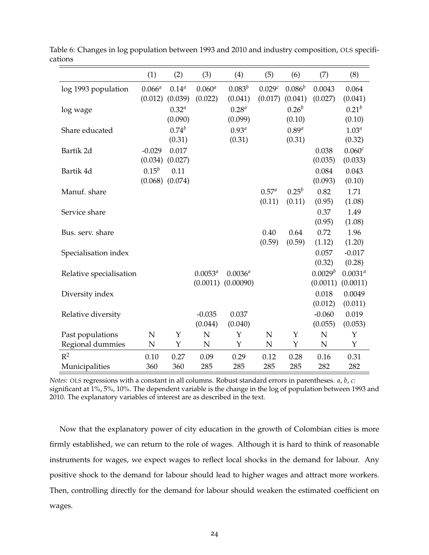|                         | (1)        | (2)        | (3)          | (4)          | (5)                | (6)         | (7)         | (8)                |
|-------------------------|------------|------------|--------------|--------------|--------------------|-------------|-------------|--------------------|
| log 1993 population     | $0.066^a$  | $0.14^{a}$ | $0.060^{a}$  | $0.083^{b}$  | 0.029 <sup>c</sup> | $0.086^{b}$ | 0.0043      | 0.064              |
|                         | (0.012)    | (0.039)    | (0.022)      | (0.041)      | (0.017)            | (0.041)     | (0.027)     | (0.041)            |
| log wage                |            | $0.32^{a}$ |              | $0.28^{a}$   |                    | $0.26^{b}$  |             | $0.21^{b}$         |
|                         |            | (0.090)    |              | (0.099)      |                    | (0.10)      |             | (0.10)             |
| Share educated          |            | $0.74^{b}$ |              | $0.93^{a}$   |                    | $0.89^{a}$  |             | $1.03^{a}$         |
|                         |            | (0.31)     |              | (0.31)       |                    | (0.31)      |             | (0.32)             |
| Bartik 2d               | $-0.029$   | 0.017      |              |              |                    |             | 0.038       | 0.060 <sup>c</sup> |
|                         | (0.034)    | (0.027)    |              |              |                    |             | (0.035)     | (0.033)            |
| Bartik 4d               | $0.15^{b}$ | 0.11       |              |              |                    |             | 0.084       | 0.043              |
|                         | (0.068)    | (0.074)    |              |              |                    |             | (0.093)     | (0.10)             |
| Manuf. share            |            |            |              |              | $0.57^a$           | $0.25^{b}$  | 0.82        | 1.71               |
|                         |            |            |              |              | (0.11)             | (0.11)      | (0.95)      | (1.08)             |
| Service share           |            |            |              |              |                    |             | 0.37        | 1.49               |
|                         |            |            |              |              |                    |             | (0.95)      | (1.08)             |
| Bus. serv. share        |            |            |              |              | 0.40               | 0.64        | 0.72        | 1.96               |
|                         |            |            |              |              | (0.59)             | (0.59)      | (1.12)      | (1.20)             |
| Specialisation index    |            |            |              |              |                    |             | 0.057       | $-0.017$           |
|                         |            |            |              |              |                    |             | (0.32)      | (0.28)             |
| Relative specialisation |            |            | $0.0053^{a}$ | $0.0036^{a}$ |                    |             | $0.0029^b$  | $0.0031^{a}$       |
|                         |            |            | (0.0011)     | (0.00090)    |                    |             | (0.0011)    | (0.0011)           |
| Diversity index         |            |            |              |              |                    |             | 0.018       | 0.0049             |
|                         |            |            |              |              |                    |             | (0.012)     | (0.011)            |
| Relative diversity      |            |            | $-0.035$     | 0.037        |                    |             | $-0.060$    | 0.019              |
|                         |            |            | (0.044)      | (0.040)      |                    |             | (0.055)     | (0.053)            |
| Past populations        | ${\bf N}$  | Y          | $\mathbf N$  | Y            | $\mathbf N$        | Y           | $\mathbf N$ | Y                  |
| Regional dummies        | ${\bf N}$  | Y          | $\mathbf N$  | Y            | N                  | Y           | $\mathbf N$ | Y                  |
| $R^2$                   | 0.10       | 0.27       | 0.09         | 0.29         | 0.12               | 0.28        | 0.16        | 0.31               |
| Municipalities          | 360        | 360        | 285          | 285          | 285                | 285         | 282         | 282                |

<span id="page-24-0"></span>Table 6: Changes in log population between 1993 and 2010 and industry composition, OLS specifications

*Notes:* OLS regressions with a constant in all columns. Robust standard errors in parentheses. *a*, *b*, *c*: significant at 1%, 5%, 10%. The dependent variable is the change in the log of population between 1993 and 2010. The explanatory variables of interest are as described in the text.

Now that the explanatory power of city education in the growth of Colombian cities is more firmly established, we can return to the role of wages. Although it is hard to think of reasonable instruments for wages, we expect wages to reflect local shocks in the demand for labour. Any positive shock to the demand for labour should lead to higher wages and attract more workers. Then, controlling directly for the demand for labour should weaken the estimated coefficient on wages.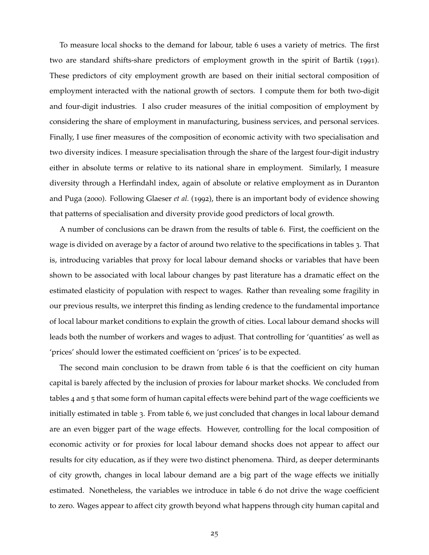To measure local shocks to the demand for labour, table [6](#page-24-0) uses a variety of metrics. The first two are standard shifts-share predictors of employment growth in the spirit of [Bartik](#page-39-4) ([1991](#page-39-4)). These predictors of city employment growth are based on their initial sectoral composition of employment interacted with the national growth of sectors. I compute them for both two-digit and four-digit industries. I also cruder measures of the initial composition of employment by considering the share of employment in manufacturing, business services, and personal services. Finally, I use finer measures of the composition of economic activity with two specialisation and two diversity indices. I measure specialisation through the share of the largest four-digit industry either in absolute terms or relative to its national share in employment. Similarly, I measure diversity through a Herfindahl index, again of absolute or relative employment as in [Duranton](#page-40-16) [and Puga](#page-40-16) ([2000](#page-40-16)). Following [Glaeser](#page-41-1) *et al.* ([1992](#page-41-1)), there is an important body of evidence showing that patterns of specialisation and diversity provide good predictors of local growth.

A number of conclusions can be drawn from the results of table [6](#page-24-0). First, the coefficient on the wage is divided on average by a factor of around two relative to the specifications in tables [3](#page-19-0). That is, introducing variables that proxy for local labour demand shocks or variables that have been shown to be associated with local labour changes by past literature has a dramatic effect on the estimated elasticity of population with respect to wages. Rather than revealing some fragility in our previous results, we interpret this finding as lending credence to the fundamental importance of local labour market conditions to explain the growth of cities. Local labour demand shocks will leads both the number of workers and wages to adjust. That controlling for 'quantities' as well as 'prices' should lower the estimated coefficient on 'prices' is to be expected.

The second main conclusion to be drawn from table [6](#page-24-0) is that the coefficient on city human capital is barely affected by the inclusion of proxies for labour market shocks. We concluded from tables [4](#page-21-0) and [5](#page-22-0) that some form of human capital effects were behind part of the wage coefficients we initially estimated in table [3](#page-19-0). From table [6](#page-24-0), we just concluded that changes in local labour demand are an even bigger part of the wage effects. However, controlling for the local composition of economic activity or for proxies for local labour demand shocks does not appear to affect our results for city education, as if they were two distinct phenomena. Third, as deeper determinants of city growth, changes in local labour demand are a big part of the wage effects we initially estimated. Nonetheless, the variables we introduce in table [6](#page-24-0) do not drive the wage coefficient to zero. Wages appear to affect city growth beyond what happens through city human capital and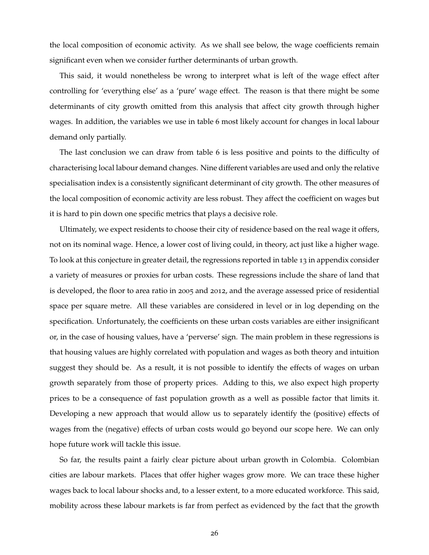the local composition of economic activity. As we shall see below, the wage coefficients remain significant even when we consider further determinants of urban growth.

This said, it would nonetheless be wrong to interpret what is left of the wage effect after controlling for 'everything else' as a 'pure' wage effect. The reason is that there might be some determinants of city growth omitted from this analysis that affect city growth through higher wages. In addition, the variables we use in table [6](#page-24-0) most likely account for changes in local labour demand only partially.

The last conclusion we can draw from table [6](#page-24-0) is less positive and points to the difficulty of characterising local labour demand changes. Nine different variables are used and only the relative specialisation index is a consistently significant determinant of city growth. The other measures of the local composition of economic activity are less robust. They affect the coefficient on wages but it is hard to pin down one specific metrics that plays a decisive role.

Ultimately, we expect residents to choose their city of residence based on the real wage it offers, not on its nominal wage. Hence, a lower cost of living could, in theory, act just like a higher wage. To look at this conjecture in greater detail, the regressions reported in table [13](#page-43-0) in appendix consider a variety of measures or proxies for urban costs. These regressions include the share of land that is developed, the floor to area ratio in 2005 and 2012, and the average assessed price of residential space per square metre. All these variables are considered in level or in log depending on the specification. Unfortunately, the coefficients on these urban costs variables are either insignificant or, in the case of housing values, have a 'perverse' sign. The main problem in these regressions is that housing values are highly correlated with population and wages as both theory and intuition suggest they should be. As a result, it is not possible to identify the effects of wages on urban growth separately from those of property prices. Adding to this, we also expect high property prices to be a consequence of fast population growth as a well as possible factor that limits it. Developing a new approach that would allow us to separately identify the (positive) effects of wages from the (negative) effects of urban costs would go beyond our scope here. We can only hope future work will tackle this issue.

So far, the results paint a fairly clear picture about urban growth in Colombia. Colombian cities are labour markets. Places that offer higher wages grow more. We can trace these higher wages back to local labour shocks and, to a lesser extent, to a more educated workforce. This said, mobility across these labour markets is far from perfect as evidenced by the fact that the growth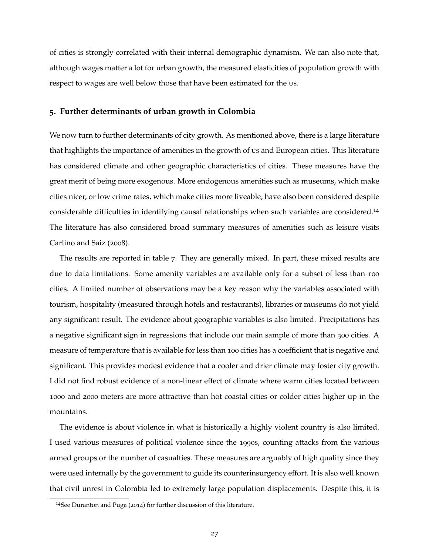of cities is strongly correlated with their internal demographic dynamism. We can also note that, although wages matter a lot for urban growth, the measured elasticities of population growth with respect to wages are well below those that have been estimated for the us.

# <span id="page-27-0"></span>**5. Further determinants of urban growth in Colombia**

We now turn to further determinants of city growth. As mentioned above, there is a large literature that highlights the importance of amenities in the growth of us and European cities. This literature has considered climate and other geographic characteristics of cities. These measures have the great merit of being more exogenous. More endogenous amenities such as museums, which make cities nicer, or low crime rates, which make cities more liveable, have also been considered despite considerable difficulties in identifying causal relationships when such variables are considered.[14](#page-27-1) The literature has also considered broad summary measures of amenities such as leisure visits [Carlino and Saiz](#page-39-0) ([2008](#page-39-0)).

The results are reported in table [7](#page-28-0). They are generally mixed. In part, these mixed results are due to data limitations. Some amenity variables are available only for a subset of less than 100 cities. A limited number of observations may be a key reason why the variables associated with tourism, hospitality (measured through hotels and restaurants), libraries or museums do not yield any significant result. The evidence about geographic variables is also limited. Precipitations has a negative significant sign in regressions that include our main sample of more than 300 cities. A measure of temperature that is available for less than 100 cities has a coefficient that is negative and significant. This provides modest evidence that a cooler and drier climate may foster city growth. I did not find robust evidence of a non-linear effect of climate where warm cities located between 1000 and 2000 meters are more attractive than hot coastal cities or colder cities higher up in the mountains.

The evidence is about violence in what is historically a highly violent country is also limited. I used various measures of political violence since the 1990s, counting attacks from the various armed groups or the number of casualties. These measures are arguably of high quality since they were used internally by the government to guide its counterinsurgency effort. It is also well known that civil unrest in Colombia led to extremely large population displacements. Despite this, it is

<span id="page-27-1"></span><sup>14</sup>See [Duranton and Puga](#page-40-3) ([2014](#page-40-3)) for further discussion of this literature.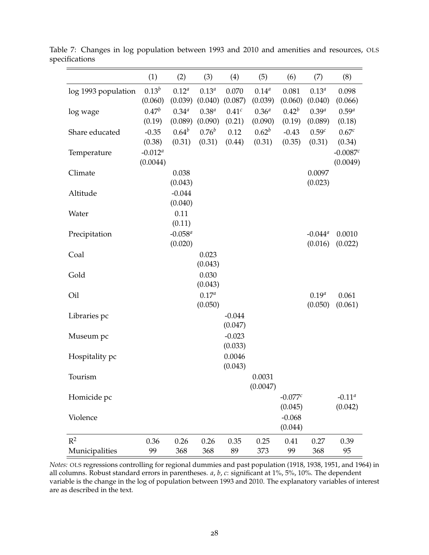<span id="page-28-0"></span>

|                     | (1)        | (2)        | (3)        | (4)               | (5)        | (6)        | (7)                   | (8)        |
|---------------------|------------|------------|------------|-------------------|------------|------------|-----------------------|------------|
| log 1993 population | $0.13^{b}$ | $0.12^{a}$ | $0.13^{a}$ | 0.070             | $0.14^{a}$ | 0.081      | $0.13^{a}$            | 0.098      |
|                     | (0.060)    | (0.039)    | (0.040)    | (0.087)           | (0.039)    | (0.060)    | (0.040)               | (0.066)    |
| log wage            | $0.47^{b}$ | $0.34^{a}$ | $0.38^{a}$ | 0.41 <sup>c</sup> | $0.36^{a}$ | $0.42^{b}$ | $0.39^{a}$            | $0.59^{a}$ |
|                     | (0.19)     | (0.089)    | (0.090)    | (0.21)            | (0.090)    | (0.19)     | (0.089)               | (0.18)     |
| Share educated      | $-0.35$    | $0.64^{b}$ | $0.76^{b}$ | 0.12              | $0.62^b$   | $-0.43$    | 0.59 <sup>c</sup>     | 0.67c      |
|                     | (0.38)     | (0.31)     | (0.31)     | (0.44)            | (0.31)     | (0.35)     | (0.31)                | (0.34)     |
| Temperature         | $-0.012^a$ |            |            |                   |            |            |                       | $-0.0087c$ |
|                     | (0.0044)   |            |            |                   |            |            |                       | (0.0049)   |
| Climate             |            | 0.038      |            |                   |            |            | 0.0097                |            |
|                     |            | (0.043)    |            |                   |            |            | (0.023)               |            |
| Altitude            |            | $-0.044$   |            |                   |            |            |                       |            |
|                     |            | (0.040)    |            |                   |            |            |                       |            |
| Water               |            | 0.11       |            |                   |            |            |                       |            |
|                     |            | (0.11)     |            |                   |            |            |                       |            |
| Precipitation       |            | $-0.058^a$ |            |                   |            |            | $-0.044$ <sup>a</sup> | 0.0010     |
|                     |            | (0.020)    |            |                   |            |            | (0.016)               | (0.022)    |
| Coal                |            |            | 0.023      |                   |            |            |                       |            |
|                     |            |            | (0.043)    |                   |            |            |                       |            |
| Gold                |            |            | 0.030      |                   |            |            |                       |            |
|                     |            |            | (0.043)    |                   |            |            |                       |            |
| Oil                 |            |            | $0.17^{a}$ |                   |            |            | $0.19^{a}$            | 0.061      |
|                     |            |            | (0.050)    |                   |            |            | (0.050)               | (0.061)    |
|                     |            |            |            |                   |            |            |                       |            |
| Libraries pc        |            |            |            | $-0.044$          |            |            |                       |            |
|                     |            |            |            | (0.047)           |            |            |                       |            |
| Museum pc           |            |            |            | $-0.023$          |            |            |                       |            |
|                     |            |            |            | (0.033)           |            |            |                       |            |
| Hospitality pc      |            |            |            | 0.0046            |            |            |                       |            |
|                     |            |            |            | (0.043)           |            |            |                       |            |
| Tourism             |            |            |            |                   | 0.0031     |            |                       |            |
|                     |            |            |            |                   | (0.0047)   |            |                       |            |
| Homicide pc         |            |            |            |                   |            | $-0.077c$  |                       | $-0.11^a$  |
|                     |            |            |            |                   |            | (0.045)    |                       | (0.042)    |
| Violence            |            |            |            |                   |            | $-0.068$   |                       |            |
|                     |            |            |            |                   |            | (0.044)    |                       |            |
| $R^2$               | 0.36       | 0.26       | 0.26       | 0.35              | 0.25       | 0.41       | 0.27                  | 0.39       |
| Municipalities      | 99         | 368        | 368        | 89                | 373        | 99         | 368                   | 95         |

Table 7: Changes in log population between 1993 and 2010 and amenities and resources, OLS specifications

*Notes:* OLS regressions controlling for regional dummies and past population (1918, 1938, 1951, and 1964) in all columns. Robust standard errors in parentheses. *a*, *b*, *c*: significant at 1%, 5%, 10%. The dependent variable is the change in the log of population between 1993 and 2010. The explanatory variables of interest are as described in the text.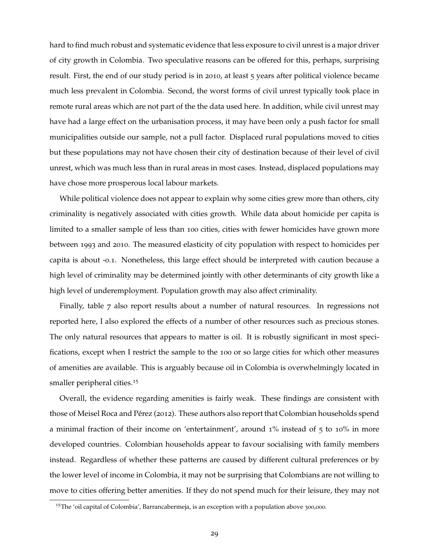hard to find much robust and systematic evidence that less exposure to civil unrest is a major driver of city growth in Colombia. Two speculative reasons can be offered for this, perhaps, surprising result. First, the end of our study period is in 2010, at least 5 years after political violence became much less prevalent in Colombia. Second, the worst forms of civil unrest typically took place in remote rural areas which are not part of the the data used here. In addition, while civil unrest may have had a large effect on the urbanisation process, it may have been only a push factor for small municipalities outside our sample, not a pull factor. Displaced rural populations moved to cities but these populations may not have chosen their city of destination because of their level of civil unrest, which was much less than in rural areas in most cases. Instead, displaced populations may have chose more prosperous local labour markets.

While political violence does not appear to explain why some cities grew more than others, city criminality is negatively associated with cities growth. While data about homicide per capita is limited to a smaller sample of less than 100 cities, cities with fewer homicides have grown more between 1993 and 2010. The measured elasticity of city population with respect to homicides per capita is about -0.1. Nonetheless, this large effect should be interpreted with caution because a high level of criminality may be determined jointly with other determinants of city growth like a high level of underemployment. Population growth may also affect criminality.

Finally, table [7](#page-28-0) also report results about a number of natural resources. In regressions not reported here, I also explored the effects of a number of other resources such as precious stones. The only natural resources that appears to matter is oil. It is robustly significant in most specifications, except when I restrict the sample to the 100 or so large cities for which other measures of amenities are available. This is arguably because oil in Colombia is overwhelmingly located in smaller peripheral cities.<sup>[15](#page-29-0)</sup>

Overall, the evidence regarding amenities is fairly weak. These findings are consistent with those of [Meisel Roca and Pérez](#page-41-5) ([2012](#page-41-5)). These authors also report that Colombian households spend a minimal fraction of their income on 'entertainment', around  $1\%$  instead of  $5$  to  $10\%$  in more developed countries. Colombian households appear to favour socialising with family members instead. Regardless of whether these patterns are caused by different cultural preferences or by the lower level of income in Colombia, it may not be surprising that Colombians are not willing to move to cities offering better amenities. If they do not spend much for their leisure, they may not

<span id="page-29-0"></span> $15$ The 'oil capital of Colombia', Barrancabermeja, is an exception with a population above 300,000.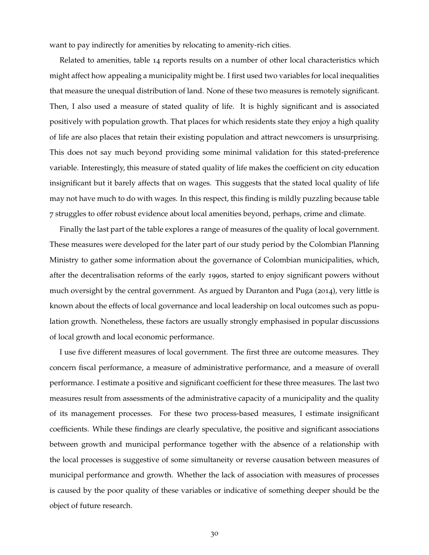want to pay indirectly for amenities by relocating to amenity-rich cities.

Related to amenities, table [14](#page-44-0) reports results on a number of other local characteristics which might affect how appealing a municipality might be. I first used two variables for local inequalities that measure the unequal distribution of land. None of these two measures is remotely significant. Then, I also used a measure of stated quality of life. It is highly significant and is associated positively with population growth. That places for which residents state they enjoy a high quality of life are also places that retain their existing population and attract newcomers is unsurprising. This does not say much beyond providing some minimal validation for this stated-preference variable. Interestingly, this measure of stated quality of life makes the coefficient on city education insignificant but it barely affects that on wages. This suggests that the stated local quality of life may not have much to do with wages. In this respect, this finding is mildly puzzling because table [7](#page-28-0) struggles to offer robust evidence about local amenities beyond, perhaps, crime and climate.

Finally the last part of the table explores a range of measures of the quality of local government. These measures were developed for the later part of our study period by the Colombian Planning Ministry to gather some information about the governance of Colombian municipalities, which, after the decentralisation reforms of the early 1990s, started to enjoy significant powers without much oversight by the central government. As argued by [Duranton and Puga](#page-40-3) ([2014](#page-40-3)), very little is known about the effects of local governance and local leadership on local outcomes such as population growth. Nonetheless, these factors are usually strongly emphasised in popular discussions of local growth and local economic performance.

I use five different measures of local government. The first three are outcome measures. They concern fiscal performance, a measure of administrative performance, and a measure of overall performance. I estimate a positive and significant coefficient for these three measures. The last two measures result from assessments of the administrative capacity of a municipality and the quality of its management processes. For these two process-based measures, I estimate insignificant coefficients. While these findings are clearly speculative, the positive and significant associations between growth and municipal performance together with the absence of a relationship with the local processes is suggestive of some simultaneity or reverse causation between measures of municipal performance and growth. Whether the lack of association with measures of processes is caused by the poor quality of these variables or indicative of something deeper should be the object of future research.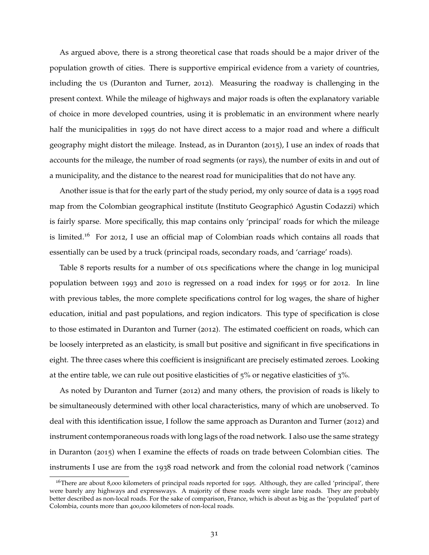As argued above, there is a strong theoretical case that roads should be a major driver of the population growth of cities. There is supportive empirical evidence from a variety of countries, including the us [\(Duranton and Turner,](#page-40-2) [2012](#page-40-2)). Measuring the roadway is challenging in the present context. While the mileage of highways and major roads is often the explanatory variable of choice in more developed countries, using it is problematic in an environment where nearly half the municipalities in 1995 do not have direct access to a major road and where a difficult geography might distort the mileage. Instead, as in [Duranton](#page-40-8) ([2015](#page-40-8)), I use an index of roads that accounts for the mileage, the number of road segments (or rays), the number of exits in and out of a municipality, and the distance to the nearest road for municipalities that do not have any.

Another issue is that for the early part of the study period, my only source of data is a 1995 road map from the Colombian geographical institute (Instituto Geographicó Agustin Codazzi) which is fairly sparse. More specifically, this map contains only 'principal' roads for which the mileage is limited.<sup>[16](#page-31-0)</sup> For 2012, I use an official map of Colombian roads which contains all roads that essentially can be used by a truck (principal roads, secondary roads, and 'carriage' roads).

Table [8](#page-32-0) reports results for a number of ols specifications where the change in log municipal population between 1993 and 2010 is regressed on a road index for 1995 or for 2012. In line with previous tables, the more complete specifications control for log wages, the share of higher education, initial and past populations, and region indicators. This type of specification is close to those estimated in [Duranton and Turner](#page-40-2) ([2012](#page-40-2)). The estimated coefficient on roads, which can be loosely interpreted as an elasticity, is small but positive and significant in five specifications in eight. The three cases where this coefficient is insignificant are precisely estimated zeroes. Looking at the entire table, we can rule out positive elasticities of  $5\%$  or negative elasticities of  $3\%$ .

As noted by [Duranton and Turner](#page-40-2) ([2012](#page-40-2)) and many others, the provision of roads is likely to be simultaneously determined with other local characteristics, many of which are unobserved. To deal with this identification issue, I follow the same approach as [Duranton and Turner](#page-40-2) ([2012](#page-40-2)) and instrument contemporaneous roads with long lags of the road network. I also use the same strategy in [Duranton](#page-40-8) ([2015](#page-40-8)) when I examine the effects of roads on trade between Colombian cities. The instruments I use are from the 1938 road network and from the colonial road network ('caminos

<span id="page-31-0"></span><sup>&</sup>lt;sup>16</sup>There are about 8,000 kilometers of principal roads reported for 1995. Although, they are called 'principal', there were barely any highways and expressways. A majority of these roads were single lane roads. They are probably better described as non-local roads. For the sake of comparison, France, which is about as big as the 'populated' part of Colombia, counts more than 400,000 kilometers of non-local roads.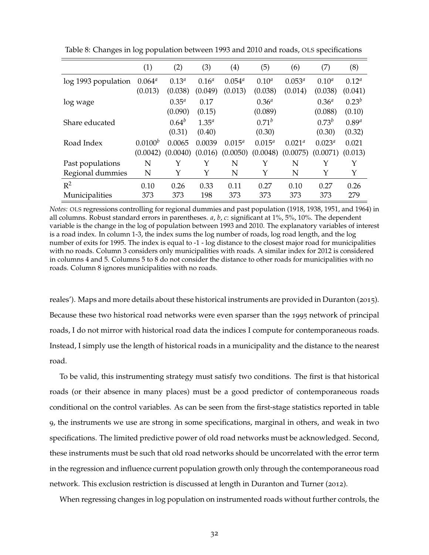|                     | (1)             | (2)        | (3)        | $\left( 4\right)$ | (5)        | (6)             | (7)         | (8)        |
|---------------------|-----------------|------------|------------|-------------------|------------|-----------------|-------------|------------|
| log 1993 population | $0.064^{\circ}$ | $0.13^{a}$ | $0.16^{a}$ | $0.054^{\circ}$   | $0.10^{a}$ | $0.053^{a}$     | $0.10^{a}$  | $0.12^{a}$ |
|                     | (0.013)         | (0.038)    | (0.049)    | (0.013)           | (0.038)    | (0.014)         | (0.038)     | (0.041)    |
| log wage            |                 | $0.35^{a}$ | 0.17       |                   | $0.36^{a}$ |                 | $0.36^{a}$  | $0.23^{b}$ |
|                     |                 | (0.090)    | (0.15)     |                   | (0.089)    |                 | (0.088)     | (0.10)     |
| Share educated      |                 | $0.64^{b}$ | $1.35^{a}$ |                   | $0.71^{b}$ |                 | $0.73^b$    | $0.89^{a}$ |
|                     |                 | (0.31)     | (0.40)     |                   | (0.30)     |                 | (0.30)      | (0.32)     |
| Road Index          | $0.0100^{b}$    | 0.0065     | 0.0039     | $0.015^{a}$       | $0.015^a$  | $0.021^{\circ}$ | $0.023^{a}$ | 0.021      |
|                     | (0.0042)        | (0.0040)   | (0.016)    | (0.0050)          | (0.0048)   | (0.0075)        | (0.0071)    | (0.013)    |
| Past populations    | N               | Y          | Υ          | N                 | Υ          | N               | Y           | Y          |
| Regional dummies    | N               | Y          | Υ          | N                 | Υ          | N               | Y           | Y          |
| $R^2$               | 0.10            | 0.26       | 0.33       | 0.11              | 0.27       | 0.10            | 0.27        | 0.26       |
| Municipalities      | 373             | 373        | 198        | 373               | 373        | 373             | 373         | 279        |

<span id="page-32-0"></span>Table 8: Changes in log population between 1993 and 2010 and roads, OLS specifications

*Notes:* OLS regressions controlling for regional dummies and past population (1918, 1938, 1951, and 1964) in all columns. Robust standard errors in parentheses. *a*, *b*, *c*: significant at 1%, 5%, 10%. The dependent variable is the change in the log of population between 1993 and 2010. The explanatory variables of interest is a road index. In column 1-3, the index sums the log number of roads, log road length, and the log number of exits for 1995. The index is equal to -1 - log distance to the closest major road for municipalities with no roads. Column 3 considers only municipalities with roads. A similar index for 2012 is considered in columns 4 and 5. Columns 5 to 8 do not consider the distance to other roads for municipalities with no roads. Column 8 ignores municipalities with no roads.

reales'). Maps and more details about these historical instruments are provided in [Duranton](#page-40-8) ([2015](#page-40-8)). Because these two historical road networks were even sparser than the 1995 network of principal roads, I do not mirror with historical road data the indices I compute for contemporaneous roads. Instead, I simply use the length of historical roads in a municipality and the distance to the nearest road.

To be valid, this instrumenting strategy must satisfy two conditions. The first is that historical roads (or their absence in many places) must be a good predictor of contemporaneous roads conditional on the control variables. As can be seen from the first-stage statistics reported in table [9](#page-33-0), the instruments we use are strong in some specifications, marginal in others, and weak in two specifications. The limited predictive power of old road networks must be acknowledged. Second, these instruments must be such that old road networks should be uncorrelated with the error term in the regression and influence current population growth only through the contemporaneous road network. This exclusion restriction is discussed at length in [Duranton and Turner](#page-40-2) ([2012](#page-40-2)).

When regressing changes in log population on instrumented roads without further controls, the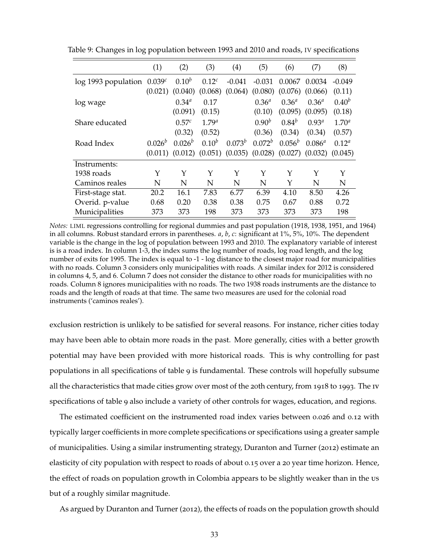|                     | (1)         | (2)               | (3)        | (4)       | (5)        | (6)        | (7)         | (8)        |
|---------------------|-------------|-------------------|------------|-----------|------------|------------|-------------|------------|
| log 1993 population | 0.039c      | $0.10^{b}$        | $0.12^{c}$ | $-0.041$  | $-0.031$   | 0.0067     | 0.0034      | $-0.049$   |
|                     | (0.021)     | (0.040)           | (0.068)    | (0.064)   | (0.080)    | (0.076)    | (0.066)     | (0.11)     |
| log wage            |             | $0.34^{a}$        | 0.17       |           | $0.36^{a}$ | $0.36^{a}$ | $0.36^{a}$  | $0.40^{b}$ |
|                     |             | (0.091)           | (0.15)     |           | (0.10)     | (0.095)    | (0.095)     | (0.18)     |
| Share educated      |             | 0.57 <sup>c</sup> | $1.79^{a}$ |           | $0.90^{b}$ | $0.84^{b}$ | $0.93^{a}$  | $1.70^{a}$ |
|                     |             | (0.32)            | (0.52)     |           | (0.36)     | (0.34)     | (0.34)      | (0.57)     |
| Road Index          | $0.026^{b}$ | $0.026^b$         | $0.10^{b}$ | $0.073^b$ | $0.072^b$  | $0.056^b$  | $0.086^{a}$ | $0.12^{a}$ |
|                     | (0.011)     | (0.012)           | (0.051)    | (0.035)   | (0.028)    | (0.027)    | (0.032)     | (0.045)    |
| Instruments:        |             |                   |            |           |            |            |             |            |
| 1938 roads          | Y           | Y                 | Υ          | Y         | Y          | Y          | Y           | Υ          |
| Caminos reales      | N           | N                 | N          | N         | N          | Y          | N           | N          |
| First-stage stat.   | 20.2        | 16.1              | 7.83       | 6.77      | 6.39       | 4.10       | 8.50        | 4.26       |
| Overid. p-value     | 0.68        | 0.20              | 0.38       | 0.38      | 0.75       | 0.67       | 0.88        | 0.72       |
| Municipalities      | 373         | 373               | 198        | 373       | 373        | 373        | 373         | 198        |

<span id="page-33-0"></span>Table 9: Changes in log population between 1993 and 2010 and roads, IV specifications

*Notes:* LIML regressions controlling for regional dummies and past population (1918, 1938, 1951, and 1964) in all columns. Robust standard errors in parentheses. *a*, *b*, *c*: significant at 1%, 5%, 10%. The dependent variable is the change in the log of population between 1993 and 2010. The explanatory variable of interest is is a road index. In column 1-3, the index sums the log number of roads, log road length, and the log number of exits for 1995. The index is equal to -1 - log distance to the closest major road for municipalities with no roads. Column 3 considers only municipalities with roads. A similar index for 2012 is considered in columns 4, 5, and 6. Column 7 does not consider the distance to other roads for municipalities with no roads. Column 8 ignores municipalities with no roads. The two 1938 roads instruments are the distance to roads and the length of roads at that time. The same two measures are used for the colonial road instruments ('caminos reales').

exclusion restriction is unlikely to be satisfied for several reasons. For instance, richer cities today may have been able to obtain more roads in the past. More generally, cities with a better growth potential may have been provided with more historical roads. This is why controlling for past populations in all specifications of table [9](#page-33-0) is fundamental. These controls will hopefully subsume all the characteristics that made cities grow over most of the 20th century, from 1918 to 1993. The iv specifications of table [9](#page-33-0) also include a variety of other controls for wages, education, and regions.

The estimated coefficient on the instrumented road index varies between 0.026 and 0.12 with typically larger coefficients in more complete specifications or specifications using a greater sample of municipalities. Using a similar instrumenting strategy, [Duranton and Turner](#page-40-2) ([2012](#page-40-2)) estimate an elasticity of city population with respect to roads of about 0.15 over a 20 year time horizon. Hence, the effect of roads on population growth in Colombia appears to be slightly weaker than in the us but of a roughly similar magnitude.

As argued by [Duranton and Turner](#page-40-2) ([2012](#page-40-2)), the effects of roads on the population growth should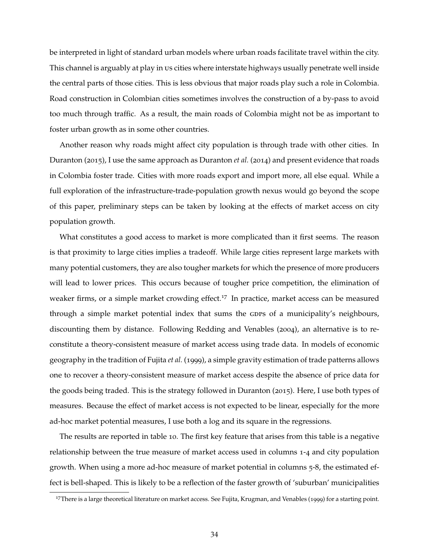be interpreted in light of standard urban models where urban roads facilitate travel within the city. This channel is arguably at play in us cities where interstate highways usually penetrate well inside the central parts of those cities. This is less obvious that major roads play such a role in Colombia. Road construction in Colombian cities sometimes involves the construction of a by-pass to avoid too much through traffic. As a result, the main roads of Colombia might not be as important to foster urban growth as in some other countries.

Another reason why roads might affect city population is through trade with other cities. In [Duranton](#page-40-8) ([2015](#page-40-8)), I use the same approach as [Duranton](#page-40-14) *et al.* ([2014](#page-40-14)) and present evidence that roads in Colombia foster trade. Cities with more roads export and import more, all else equal. While a full exploration of the infrastructure-trade-population growth nexus would go beyond the scope of this paper, preliminary steps can be taken by looking at the effects of market access on city population growth.

What constitutes a good access to market is more complicated than it first seems. The reason is that proximity to large cities implies a tradeoff. While large cities represent large markets with many potential customers, they are also tougher markets for which the presence of more producers will lead to lower prices. This occurs because of tougher price competition, the elimination of weaker firms, or a simple market crowding effect.<sup>[17](#page-34-0)</sup> In practice, market access can be measured through a simple market potential index that sums the GDPs of a municipality's neighbours, discounting them by distance. Following [Redding and Venables](#page-41-17) ([2004](#page-41-17)), an alternative is to reconstitute a theory-consistent measure of market access using trade data. In models of economic geography in the tradition of [Fujita](#page-40-17) *et al.* ([1999](#page-40-17)), a simple gravity estimation of trade patterns allows one to recover a theory-consistent measure of market access despite the absence of price data for the goods being traded. This is the strategy followed in [Duranton](#page-40-8) ([2015](#page-40-8)). Here, I use both types of measures. Because the effect of market access is not expected to be linear, especially for the more ad-hoc market potential measures, I use both a log and its square in the regressions.

The results are reported in table [10](#page-35-0). The first key feature that arises from this table is a negative relationship between the true measure of market access used in columns 1-4 and city population growth. When using a more ad-hoc measure of market potential in columns 5-8, the estimated effect is bell-shaped. This is likely to be a reflection of the faster growth of 'suburban' municipalities

<span id="page-34-0"></span><sup>&</sup>lt;sup>17</sup>There is a large theoretical literature on market access. See [Fujita, Krugman, and Venables](#page-40-17) ([1999](#page-40-17)) for a starting point.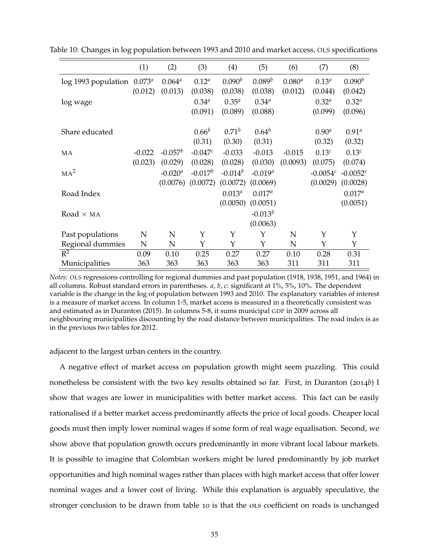<span id="page-35-0"></span>

|                     | (1)         | (2)        | (3)        | (4)                | (5)          | (6)         | (7)               | (8)                |
|---------------------|-------------|------------|------------|--------------------|--------------|-------------|-------------------|--------------------|
| log 1993 population | $0.073^{a}$ | $0.064^a$  | $0.12^{a}$ | 0.090 <sup>b</sup> | $0.089^b$    | $0.080^{a}$ | $0.13^{a}$        | 0.090 <sup>b</sup> |
|                     | (0.012)     | (0.013)    | (0.038)    | (0.038)            | (0.038)      | (0.012)     | (0.044)           | (0.042)            |
| log wage            |             |            | $0.34^{a}$ | $0.35^{a}$         | $0.34^{a}$   |             | $0.32^{a}$        | $0.32^{a}$         |
|                     |             |            | (0.091)    | (0.089)            | (0.088)      |             | (0.099)           | (0.096)            |
| Share educated      |             |            | $0.66^b$   | $0.71^{b}$         | $0.64^{b}$   |             | $0.90^{a}$        | $0.91^{a}$         |
|                     |             |            | (0.31)     | (0.30)             | (0.31)       |             | (0.32)            | (0.32)             |
| MA                  | $-0.022$    | $-0.057^b$ | $-0.047c$  | $-0.033$           | $-0.013$     | $-0.015$    | 0.13 <sup>c</sup> | 0.13 <sup>c</sup>  |
|                     | (0.023)     | (0.029)    | (0.028)    | (0.028)            | (0.030)      | (0.0093)    | (0.075)           | (0.074)            |
| MA <sup>2</sup>     |             | $-0.020^a$ | $-0.017^b$ | $-0.014^b$         | $-0.019^{a}$ |             | $-0.0054c$        | $-0.0052^{c}$      |
|                     |             | (0.0076)   | (0.0072)   | (0.0072)           | (0.0069)     |             | (0.0029)          | (0.0028)           |
| Road Index          |             |            |            | $0.013^{a}$        | $0.017^{a}$  |             |                   | $0.017^a$          |
|                     |             |            |            | (0.0050)           | (0.0051)     |             |                   | (0.0051)           |
| Road $\times$ MA    |             |            |            |                    | $-0.013^{b}$ |             |                   |                    |
|                     |             |            |            |                    | (0.0063)     |             |                   |                    |
| Past populations    | N           | N          | Y          | Y                  | Y            | N           | Y                 | Y                  |
| Regional dummies    | N           | N          | Υ          | Y                  | Y            | N           | Y                 | Y                  |
| $\overline{R^2}$    | 0.09        | 0.10       | 0.25       | 0.27               | 0.27         | 0.10        | 0.28              | 0.31               |
| Municipalities      | 363         | 363        | 363        | 363                | 363          | 311         | 311               | 311                |

Table 10: Changes in log population between 1993 and 2010 and market access, OLS specifications

*Notes:* OLS regressions controlling for regional dummies and past population (1918, 1938, 1951, and 1964) in all columns. Robust standard errors in parentheses. *a*, *b*, *c*: significant at 1%, 5%, 10%. The dependent variable is the change in the log of population between 1993 and 2010. The explanatory variables of interest is a measure of market access. In column 1-5, market access is measured in a theoretically consistent was and estimated as in [Duranton](#page-40-8) [\(2015\)](#page-40-8). In columns 5-8, it sums municipal GDP in 2009 across all neighbouring municipalities discounting by the road distance between municipalities. The road index is as in the previous two tables for 2012.

adjacent to the largest urban centers in the country.

A negative effect of market access on population growth might seem puzzling. This could nonetheless be consistent with the two key results obtained so far. First, in [Duranton](#page-40-7) ([2014](#page-40-7)*b*) I show that wages are lower in municipalities with better market access. This fact can be easily rationalised if a better market access predominantly affects the price of local goods. Cheaper local goods must then imply lower nominal wages if some form of real wage equalisation. Second, we show above that population growth occurs predominantly in more vibrant local labour markets. It is possible to imagine that Colombian workers might be lured predominantly by job market opportunities and high nominal wages rather than places with high market access that offer lower nominal wages and a lower cost of living. While this explanation is arguably speculative, the stronger conclusion to be drawn from table [10](#page-35-0) is that the OLS coefficient on roads is unchanged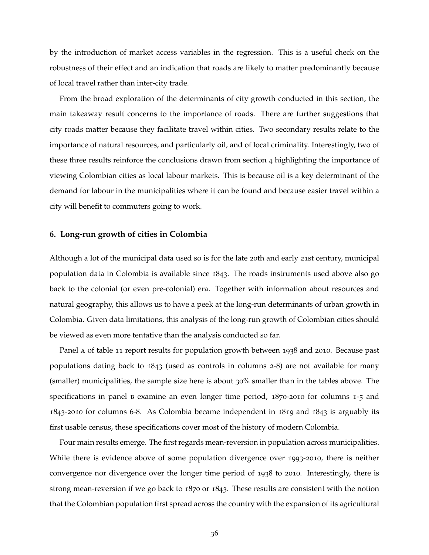by the introduction of market access variables in the regression. This is a useful check on the robustness of their effect and an indication that roads are likely to matter predominantly because of local travel rather than inter-city trade.

From the broad exploration of the determinants of city growth conducted in this section, the main takeaway result concerns to the importance of roads. There are further suggestions that city roads matter because they facilitate travel within cities. Two secondary results relate to the importance of natural resources, and particularly oil, and of local criminality. Interestingly, two of these three results reinforce the conclusions drawn from section [4](#page-15-0) highlighting the importance of viewing Colombian cities as local labour markets. This is because oil is a key determinant of the demand for labour in the municipalities where it can be found and because easier travel within a city will benefit to commuters going to work.

#### <span id="page-36-0"></span>**6. Long-run growth of cities in Colombia**

Although a lot of the municipal data used so is for the late 20th and early 21st century, municipal population data in Colombia is available since 1843. The roads instruments used above also go back to the colonial (or even pre-colonial) era. Together with information about resources and natural geography, this allows us to have a peek at the long-run determinants of urban growth in Colombia. Given data limitations, this analysis of the long-run growth of Colombian cities should be viewed as even more tentative than the analysis conducted so far.

Panel a of table [11](#page-37-0) report results for population growth between 1938 and 2010. Because past populations dating back to 1843 (used as controls in columns 2-8) are not available for many (smaller) municipalities, the sample size here is about 30% smaller than in the tables above. The specifications in panel B examine an even longer time period, 1870-2010 for columns 1-5 and 1843-2010 for columns 6-8. As Colombia became independent in 1819 and 1843 is arguably its first usable census, these specifications cover most of the history of modern Colombia.

Four main results emerge. The first regards mean-reversion in population across municipalities. While there is evidence above of some population divergence over 1993-2010, there is neither convergence nor divergence over the longer time period of 1938 to 2010. Interestingly, there is strong mean-reversion if we go back to 1870 or 1843. These results are consistent with the notion that the Colombian population first spread across the country with the expansion of its agricultural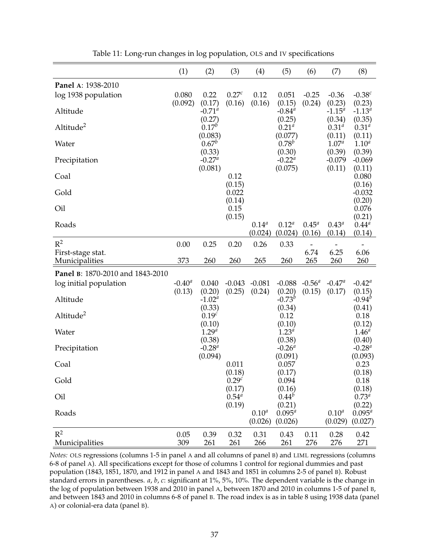|                                              | (1)                 | (2)                           | (3)                  | (4)                   | (5)                              | (6)                  | (7)                          | (8)                              |
|----------------------------------------------|---------------------|-------------------------------|----------------------|-----------------------|----------------------------------|----------------------|------------------------------|----------------------------------|
| Panel A: 1938-2010<br>log 1938 population    | 0.080               | 0.22                          | 0.27 <sup>c</sup>    | 0.12                  | 0.051                            | $-0.25$              | $-0.36$                      | $-0.38c$                         |
| Altitude                                     | (0.092)             | (0.17)<br>$-0.71^a$           | (0.16)               | (0.16)                | (0.15)<br>$-0.84a$               | (0.24)               | (0.23)<br>$-1.15^a$          | (0.23)<br>$-1.13^{a}$            |
| Altitude <sup>2</sup>                        |                     | (0.27)<br>$0.17^{b}$          |                      |                       | (0.25)<br>$0.21^{a}$             |                      | (0.34)<br>$0.31^{a}$         | (0.35)<br>$0.31^{a}$             |
| Water                                        |                     | (0.083)<br>$0.67^b$<br>(0.33) |                      |                       | (0.077)<br>$0.78^{b}$<br>(0.30)  |                      | (0.11)<br>$1.07^a$           | (0.11)<br>$1.10^{a}$             |
| Precipitation                                |                     | $-0.27a$<br>(0.081)           |                      |                       | $-0.22^a$<br>(0.075)             |                      | (0.39)<br>$-0.079$<br>(0.11) | (0.39)<br>$-0.069$<br>(0.11)     |
| Coal                                         |                     |                               | 0.12<br>(0.15)       |                       |                                  |                      |                              | 0.080<br>(0.16)                  |
| Gold                                         |                     |                               | 0.022<br>(0.14)      |                       |                                  |                      |                              | $-0.032$<br>(0.20)               |
| Oil                                          |                     |                               | 0.15<br>(0.15)       |                       |                                  |                      |                              | 0.076<br>(0.21)                  |
| Roads                                        |                     |                               |                      | $0.14^{a}$<br>(0.024) | $0.12^{a}$<br>(0.024)            | $0.45^{a}$<br>(0.16) | $0.43^{a}$<br>(0.14)         | $0.44^{a}$<br>(0.14)             |
| $R^2$<br>First-stage stat.<br>Municipalities | 0.00<br>373         | 0.25<br>260                   | 0.20<br>260          | 0.26<br>265           | 0.33<br>260                      | 6.74<br>265          | 6.25<br>260                  | 6.06<br>260                      |
| Panel B: 1870-2010 and 1843-2010             |                     |                               |                      |                       |                                  |                      |                              |                                  |
| log initial population                       | $-0.40^a$<br>(0.13) | 0.040<br>(0.20)               | $-0.043$<br>(0.25)   | $-0.081$<br>(0.24)    | $-0.088$<br>(0.20)               | $-0.56a$<br>(0.15)   | $-0.47^a$<br>(0.17)          | $-0.42^a$                        |
| Altitude                                     |                     | $-1.02^a$<br>(0.33)           |                      |                       | $-0.73^{b}$<br>(0.34)            |                      |                              | (0.15)<br>$-0.94^{b}$<br>(0.41)  |
| Altitude <sup>2</sup>                        |                     | 0.19 <sup>c</sup><br>(0.10)   |                      |                       | 0.12<br>(0.10)                   |                      |                              | 0.18<br>(0.12)                   |
| Water                                        |                     | $1.29^{a}$<br>(0.38)          |                      |                       | $1.23^{a}$<br>(0.38)             |                      |                              | $1.46^{a}$<br>(0.40)             |
| Precipitation                                |                     | $-0.28^a$<br>(0.094)          |                      |                       | $-0.26a$<br>(0.091)              |                      |                              | $-0.28^a$<br>(0.093)             |
| Coal                                         |                     |                               | 0.011<br>(0.18)      |                       | 0.057<br>(0.17)                  |                      |                              | 0.23<br>(0.18)                   |
| Gold                                         |                     |                               | $0.29^{c}$<br>(0.17) |                       | 0.094<br>(0.16)                  |                      |                              | 0.18<br>(0.18)                   |
| Oil                                          |                     |                               | $0.54^{a}$<br>(0.19) |                       | $0.44^{b}$                       |                      |                              | $0.73^{a}$                       |
| Roads                                        |                     |                               |                      | $0.10^{a}$<br>(0.026) | (0.21)<br>$0.095^{a}$<br>(0.026) |                      | $0.10^{a}$<br>(0.029)        | (0.22)<br>$0.095^{a}$<br>(0.027) |
| $R^2$<br>Municipalities                      | 0.05<br>309         | 0.39<br>261                   | 0.32<br>261          | 0.31<br>266           | 0.43<br>261                      | 0.11<br>276          | 0.28<br>276                  | 0.42<br>271                      |

<span id="page-37-0"></span>Table 11: Long-run changes in log population, OLS and IV specifications

*Notes:* OLS regressions (columns 1-5 in panel A and all columns of panel B) and LIML regressions (columns 6-8 of panel A). All specifications except for those of columns 1 control for regional dummies and past population (1843, 1851, 1870, and 1912 in panel A and 1843 and 1851 in columns 2-5 of panel B). Robust standard errors in parentheses. *a*, *b*, *c*: significant at 1%, 5%, 10%. The dependent variable is the change in the log of population between 1938 and 2010 in panel A, between 1870 and 2010 in columns 1-5 of panel B, and between 1843 and 2010 in columns 6-8 of panel B. The road index is as in table [8](#page-32-0) using 1938 data (panel A) or colonial-era data (panel B).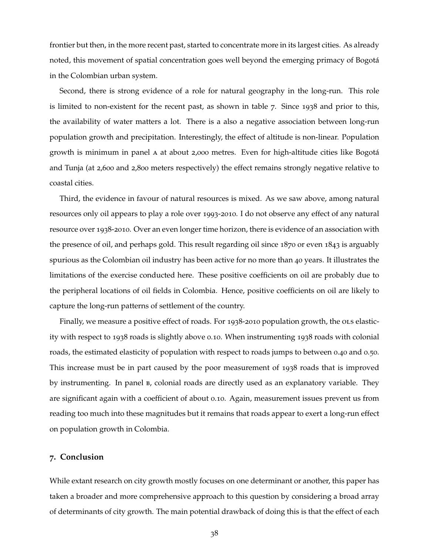frontier but then, in the more recent past, started to concentrate more in its largest cities. As already noted, this movement of spatial concentration goes well beyond the emerging primacy of Bogotá in the Colombian urban system.

Second, there is strong evidence of a role for natural geography in the long-run. This role is limited to non-existent for the recent past, as shown in table [7](#page-28-0). Since 1938 and prior to this, the availability of water matters a lot. There is a also a negative association between long-run population growth and precipitation. Interestingly, the effect of altitude is non-linear. Population growth is minimum in panel a at about 2,000 metres. Even for high-altitude cities like Bogotá and Tunja (at 2,600 and 2,800 meters respectively) the effect remains strongly negative relative to coastal cities.

Third, the evidence in favour of natural resources is mixed. As we saw above, among natural resources only oil appears to play a role over 1993-2010. I do not observe any effect of any natural resource over 1938-2010. Over an even longer time horizon, there is evidence of an association with the presence of oil, and perhaps gold. This result regarding oil since 1870 or even 1843 is arguably spurious as the Colombian oil industry has been active for no more than 40 years. It illustrates the limitations of the exercise conducted here. These positive coefficients on oil are probably due to the peripheral locations of oil fields in Colombia. Hence, positive coefficients on oil are likely to capture the long-run patterns of settlement of the country.

Finally, we measure a positive effect of roads. For 1938-2010 population growth, the OLS elasticity with respect to 1938 roads is slightly above 0.10. When instrumenting 1938 roads with colonial roads, the estimated elasticity of population with respect to roads jumps to between 0.40 and 0.50. This increase must be in part caused by the poor measurement of 1938 roads that is improved by instrumenting. In panel b, colonial roads are directly used as an explanatory variable. They are significant again with a coefficient of about 0.10. Again, measurement issues prevent us from reading too much into these magnitudes but it remains that roads appear to exert a long-run effect on population growth in Colombia.

## <span id="page-38-0"></span>**7. Conclusion**

While extant research on city growth mostly focuses on one determinant or another, this paper has taken a broader and more comprehensive approach to this question by considering a broad array of determinants of city growth. The main potential drawback of doing this is that the effect of each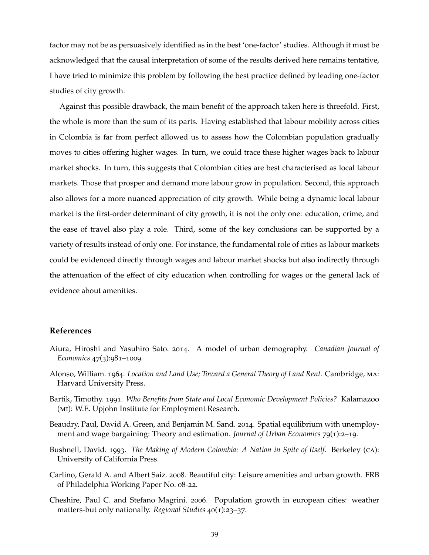factor may not be as persuasively identified as in the best 'one-factor' studies. Although it must be acknowledged that the causal interpretation of some of the results derived here remains tentative, I have tried to minimize this problem by following the best practice defined by leading one-factor studies of city growth.

Against this possible drawback, the main benefit of the approach taken here is threefold. First, the whole is more than the sum of its parts. Having established that labour mobility across cities in Colombia is far from perfect allowed us to assess how the Colombian population gradually moves to cities offering higher wages. In turn, we could trace these higher wages back to labour market shocks. In turn, this suggests that Colombian cities are best characterised as local labour markets. Those that prosper and demand more labour grow in population. Second, this approach also allows for a more nuanced appreciation of city growth. While being a dynamic local labour market is the first-order determinant of city growth, it is not the only one: education, crime, and the ease of travel also play a role. Third, some of the key conclusions can be supported by a variety of results instead of only one. For instance, the fundamental role of cities as labour markets could be evidenced directly through wages and labour market shocks but also indirectly through the attenuation of the effect of city education when controlling for wages or the general lack of evidence about amenities.

## **References**

- <span id="page-39-1"></span>Aiura, Hiroshi and Yasuhiro Sato. 2014. A model of urban demography. *Canadian Journal of Economics* 47(3):981–1009.
- <span id="page-39-6"></span>Alonso, William. 1964. *Location and Land Use; Toward a General Theory of Land Rent*. Cambridge, ma: Harvard University Press.
- <span id="page-39-4"></span>Bartik, Timothy. 1991. *Who Benefits from State and Local Economic Development Policies?* Kalamazoo (mi): W.E. Upjohn Institute for Employment Research.
- <span id="page-39-3"></span>Beaudry, Paul, David A. Green, and Benjamin M. Sand. 2014. Spatial equilibrium with unemployment and wage bargaining: Theory and estimation. *Journal of Urban Economics* 79(1):2–19.
- <span id="page-39-2"></span>Bushnell, David. 1993. *The Making of Modern Colombia: A Nation in Spite of Itself*. Berkeley (ca): University of California Press.
- <span id="page-39-0"></span>Carlino, Gerald A. and Albert Saiz. 2008. Beautiful city: Leisure amenities and urban growth. FRB of Philadelphia Working Paper No. 08-22.
- <span id="page-39-5"></span>Cheshire, Paul C. and Stefano Magrini. 2006. Population growth in european cities: weather matters-but only nationally. *Regional Studies* 40(1):23–37.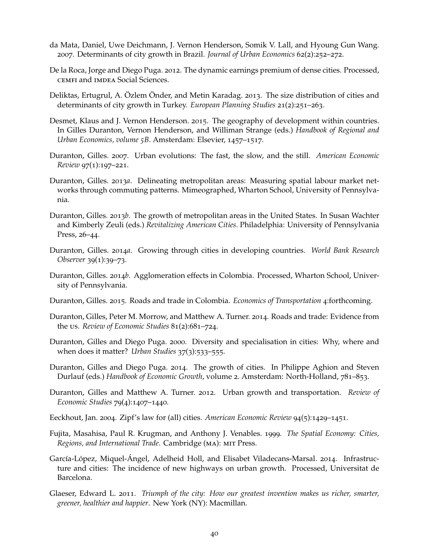- <span id="page-40-4"></span>da Mata, Daniel, Uwe Deichmann, J. Vernon Henderson, Somik V. Lall, and Hyoung Gun Wang. 2007. Determinants of city growth in Brazil. *Journal of Urban Economics* 62(2):252–272.
- <span id="page-40-15"></span>De la Roca, Jorge and Diego Puga. 2012. The dynamic earnings premium of dense cities. Processed, cemfi and imdea Social Sciences.
- <span id="page-40-5"></span>Deliktas, Ertugrul, A. Özlem Önder, and Metin Karadag. 2013. The size distribution of cities and determinants of city growth in Turkey. *European Planning Studies* 21(2):251–263.
- <span id="page-40-0"></span>Desmet, Klaus and J. Vernon Henderson. 2015. The geography of development within countries. In Gilles Duranton, Vernon Henderson, and Williman Strange (eds.) *Handbook of Regional and Urban Economics, volume 5B*. Amsterdam: Elsevier, 1457–1517.
- <span id="page-40-12"></span>Duranton, Gilles. 2007. Urban evolutions: The fast, the slow, and the still. *American Economic Review* 97(1):197–221.
- <span id="page-40-9"></span>Duranton, Gilles. 2013*a*. Delineating metropolitan areas: Measuring spatial labour market networks through commuting patterns. Mimeographed, Wharton School, University of Pennsylvania.
- <span id="page-40-10"></span>Duranton, Gilles. 2013*b*. The growth of metropolitan areas in the United States. In Susan Wachter and Kimberly Zeuli (eds.) *Revitalizing American Cities*. Philadelphia: University of Pennsylvania Press, 26–44.
- <span id="page-40-6"></span>Duranton, Gilles. 2014*a*. Growing through cities in developing countries. *World Bank Research Observer* 39(1):39–73.
- <span id="page-40-7"></span>Duranton, Gilles. 2014*b*. Agglomeration effects in Colombia. Processed, Wharton School, University of Pennsylvania.
- <span id="page-40-8"></span>Duranton, Gilles. 2015. Roads and trade in Colombia. *Economics of Transportation* 4:forthcoming.
- <span id="page-40-14"></span>Duranton, Gilles, Peter M. Morrow, and Matthew A. Turner. 2014. Roads and trade: Evidence from the us. *Review of Economic Studies* 81(2):681–724.
- <span id="page-40-16"></span>Duranton, Gilles and Diego Puga. 2000. Diversity and specialisation in cities: Why, where and when does it matter? *Urban Studies* 37(3):533–555.
- <span id="page-40-3"></span>Duranton, Gilles and Diego Puga. 2014. The growth of cities. In Philippe Aghion and Steven Durlauf (eds.) *Handbook of Economic Growth*, volume 2. Amsterdam: North-Holland, 781–853.
- <span id="page-40-2"></span>Duranton, Gilles and Matthew A. Turner. 2012. Urban growth and transportation. *Review of Economic Studies* 79(4):1407–1440.
- <span id="page-40-11"></span>Eeckhout, Jan. 2004. Zipf's law for (all) cities. *American Economic Review* 94(5):1429–1451.
- <span id="page-40-17"></span>Fujita, Masahisa, Paul R. Krugman, and Anthony J. Venables. 1999. *The Spatial Economy: Cities, Regions, and International Trade*. Cambridge (ma): mit Press.
- <span id="page-40-13"></span>García-López, Miquel-Ángel, Adelheid Holl, and Elisabet Viladecans-Marsal. 2014. Infrastructure and cities: The incidence of new highways on urban growth. Processed, Universitat de Barcelona.
- <span id="page-40-1"></span>Glaeser, Edward L. 2011. *Triumph of the city: How our greatest invention makes us richer, smarter, greener, healthier and happier*. New York (NY): Macmillan.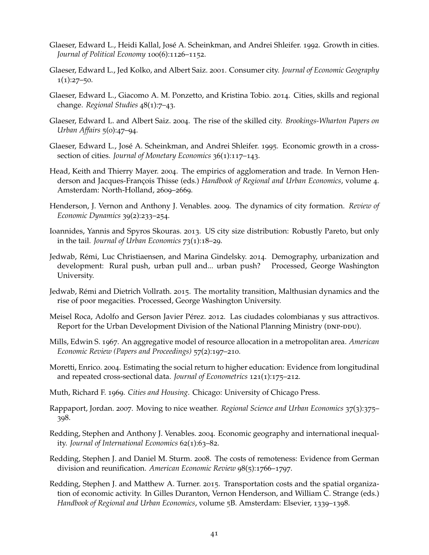- <span id="page-41-1"></span>Glaeser, Edward L., Heidi Kallal, José A. Scheinkman, and Andrei Shleifer. 1992. Growth in cities. *Journal of Political Economy* 100(6):1126–1152.
- <span id="page-41-11"></span>Glaeser, Edward L., Jed Kolko, and Albert Saiz. 2001. Consumer city. *Journal of Economic Geography* 1(1):27–50.
- <span id="page-41-9"></span>Glaeser, Edward L., Giacomo A. M. Ponzetto, and Kristina Tobio. 2014. Cities, skills and regional change. *Regional Studies* 48(1):7–43.
- <span id="page-41-2"></span>Glaeser, Edward L. and Albert Saiz. 2004. The rise of the skilled city. *Brookings-Wharton Papers on Urban Affairs* 5(0):47–94.
- <span id="page-41-0"></span>Glaeser, Edward L., José A. Scheinkman, and Andrei Shleifer. 1995. Economic growth in a crosssection of cities. *Journal of Monetary Economics* 36(1):117–143.
- <span id="page-41-16"></span>Head, Keith and Thierry Mayer. 2004. The empirics of agglomeration and trade. In Vernon Henderson and Jacques-François Thisse (eds.) *Handbook of Regional and Urban Economics*, volume 4. Amsterdam: North-Holland, 2609–2669.
- <span id="page-41-4"></span>Henderson, J. Vernon and Anthony J. Venables. 2009. The dynamics of city formation. *Review of Economic Dynamics* 39(2):233–254.
- <span id="page-41-8"></span>Ioannides, Yannis and Spyros Skouras. 2013. US city size distribution: Robustly Pareto, but only in the tail. *Journal of Urban Economics* 73(1):18–29.
- <span id="page-41-6"></span>Jedwab, Rémi, Luc Christiaensen, and Marina Gindelsky. 2014. Demography, urbanization and development: Rural push, urban pull and... urban push? Processed, George Washington University.
- <span id="page-41-7"></span>Jedwab, Rémi and Dietrich Vollrath. 2015. The mortality transition, Malthusian dynamics and the rise of poor megacities. Processed, George Washington University.
- <span id="page-41-5"></span>Meisel Roca, Adolfo and Gerson Javier Pérez. 2012. Las ciudades colombianas y sus attractivos. Report for the Urban Development Division of the National Planning Ministry (DNP-DDU).
- <span id="page-41-12"></span>Mills, Edwin S. 1967. An aggregative model of resource allocation in a metropolitan area. *American Economic Review (Papers and Proceedings)* 57(2):197–210.
- <span id="page-41-10"></span>Moretti, Enrico. 2004. Estimating the social return to higher education: Evidence from longitudinal and repeated cross-sectional data. *Journal of Econometrics* 121(1):175–212.
- <span id="page-41-13"></span>Muth, Richard F. 1969. *Cities and Housing*. Chicago: University of Chicago Press.
- <span id="page-41-3"></span>Rappaport, Jordan. 2007. Moving to nice weather. *Regional Science and Urban Economics* 37(3):375– 398.
- <span id="page-41-17"></span>Redding, Stephen and Anthony J. Venables. 2004. Economic geography and international inequality. *Journal of International Economics* 62(1):63–82.
- <span id="page-41-15"></span>Redding, Stephen J. and Daniel M. Sturm. 2008. The costs of remoteness: Evidence from German division and reunification. *American Economic Review* 98(5):1766–1797.
- <span id="page-41-14"></span>Redding, Stephen J. and Matthew A. Turner. 2015. Transportation costs and the spatial organization of economic activity. In Gilles Duranton, Vernon Henderson, and William C. Strange (eds.) *Handbook of Regional and Urban Economics*, volume 5B. Amsterdam: Elsevier, 1339–1398.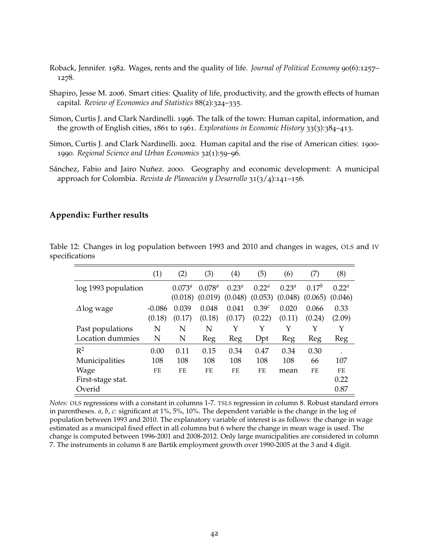- <span id="page-42-4"></span>Roback, Jennifer. 1982. Wages, rents and the quality of life. *Journal of Political Economy* 90(6):1257– 1278.
- <span id="page-42-3"></span>Shapiro, Jesse M. 2006. Smart cities: Quality of life, productivity, and the growth effects of human capital. *Review of Economics and Statistics* 88(2):324–335.
- <span id="page-42-2"></span>Simon, Curtis J. and Clark Nardinelli. 1996. The talk of the town: Human capital, information, and the growth of English cities, 1861 to 1961. *Explorations in Economic History* 33(3):384–413.
- <span id="page-42-1"></span>Simon, Curtis J. and Clark Nardinelli. 2002. Human capital and the rise of American cities: 1900- 1990. *Regional Science and Urban Economics* 32(1):59–96.
- <span id="page-42-0"></span>Sánchez, Fabio and Jairo Nuñez. 2000. Geography and economic development: A municipal approach for Colombia. *Revista de Planeación y Desarrollo* 31(3/4):141–156.

## **Appendix: Further results**

Table 12: Changes in log population between 1993 and 2010 and changes in wages, OLS and IV specifications

<span id="page-42-5"></span>

|                     | (1)      | (2)         | (3)         | (4)        | (5)               | (6)        | (7)        | (8)             |
|---------------------|----------|-------------|-------------|------------|-------------------|------------|------------|-----------------|
| log 1993 population |          | $0.073^{a}$ | $0.078^{a}$ | $0.23^{a}$ | $0.22^{\alpha}$   | $0.23^{a}$ | $0.17^{b}$ | $0.22^{\alpha}$ |
|                     |          | (0.018)     | (0.019)     | (0.048)    | (0.053)           | (0.048)    | (0.065)    | (0.046)         |
| $\Delta$ log wage   | $-0.086$ | 0.039       | 0.048       | 0.041      | 0.39 <sup>c</sup> | 0.020      | 0.066      | 0.33            |
|                     | (0.18)   | (0.17)      | (0.18)      | (0.17)     | (0.22)            | (0.11)     | (0.24)     | (2.09)          |
| Past populations    | N        | N           | N           | Y          | Y                 | Y          | Y          | Y               |
| Location dummies    | N        | N           | Reg         | Reg        | Dpt               | Reg        | Reg        | Reg             |
| $R^2$               | 0.00     | 0.11        | 0.15        | 0.34       | 0.47              | 0.34       | 0.30       |                 |
| Municipalities      | 108      | 108         | 108         | 108        | 108               | 108        | 66         | 107             |
| Wage                | FE       | FE          | FE          | FE         | FE                | mean       | FE         | FE              |
| First-stage stat.   |          |             |             |            |                   |            |            | 0.22            |
| Overid              |          |             |             |            |                   |            |            | 0.87            |

*Notes:* OLS regressions with a constant in columns 1-7. TSLS regression in column 8. Robust standard errors in parentheses. *a*, *b*, *c*: significant at 1%, 5%, 10%. The dependent variable is the change in the log of population between 1993 and 2010. The explanatory variable of interest is as follows: the change in wage estimated as a municipal fixed effect in all columns but 6 where the change in mean wage is used. The change is computed between 1996-2001 and 2008-2012. Only large municipalities are considered in column 7. The instruments in column 8 are Bartik employment growth over 1990-2005 at the 3 and 4 digit.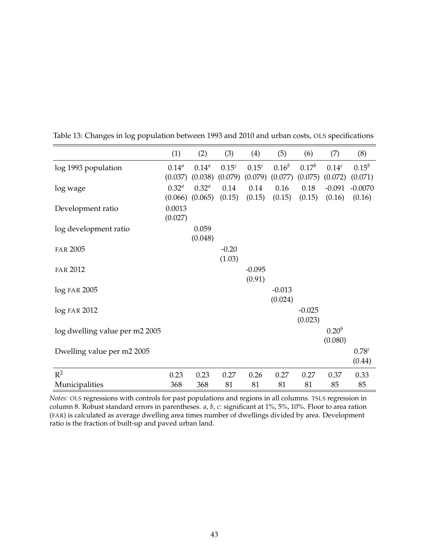|                                | (1)               | (2)        | (3)               | (4)               | (5)        | (6)      | (7)               | (8)               |
|--------------------------------|-------------------|------------|-------------------|-------------------|------------|----------|-------------------|-------------------|
| log 1993 population            | $0.14^a$          | $0.14^{a}$ | 0.15 <sup>c</sup> | 0.15 <sup>c</sup> | $0.16^{b}$ | $0.17^b$ | 0.14 <sup>c</sup> | $0.15^{b}$        |
|                                | (0.037)           | (0.038)    | (0.079)           | (0.079)           | (0.077)    | (0.075)  | (0.072)           | (0.071)           |
| log wage                       | $0.32^{a}$        | $0.32^{a}$ | 0.14              | 0.14              | 0.16       | 0.18     | $-0.091$          | $-0.0070$         |
|                                | (0.066)           | (0.065)    | (0.15)            | (0.15)            | (0.15)     | (0.15)   | (0.16)            | (0.16)            |
| Development ratio              | 0.0013<br>(0.027) |            |                   |                   |            |          |                   |                   |
| log development ratio          |                   | 0.059      |                   |                   |            |          |                   |                   |
|                                |                   | (0.048)    |                   |                   |            |          |                   |                   |
| <b>FAR 2005</b>                |                   |            | $-0.20$           |                   |            |          |                   |                   |
|                                |                   |            | (1.03)            |                   |            |          |                   |                   |
| <b>FAR 2012</b>                |                   |            |                   | $-0.095$          |            |          |                   |                   |
|                                |                   |            |                   | (0.91)            |            |          |                   |                   |
| log FAR 2005                   |                   |            |                   |                   | $-0.013$   |          |                   |                   |
|                                |                   |            |                   |                   | (0.024)    |          |                   |                   |
| log FAR 2012                   |                   |            |                   |                   |            | $-0.025$ |                   |                   |
|                                |                   |            |                   |                   |            | (0.023)  |                   |                   |
| log dwelling value per m2 2005 |                   |            |                   |                   |            |          | $0.20^{b}$        |                   |
|                                |                   |            |                   |                   |            |          | (0.080)           |                   |
| Dwelling value per m2 2005     |                   |            |                   |                   |            |          |                   | 0.78 <sup>c</sup> |
|                                |                   |            |                   |                   |            |          |                   | (0.44)            |
| $R^2$                          | 0.23              | 0.23       | 0.27              | 0.26              | 0.27       | 0.27     | 0.37              | 0.33              |
| Municipalities                 | 368               | 368        | 81                | 81                | 81         | 81       | 85                | 85                |

<span id="page-43-0"></span>Table 13: Changes in log population between 1993 and 2010 and urban costs, OLS specifications

*Notes:* OLS regressions with controls for past populations and regions in all columns. TSLS regression in column 8. Robust standard errors in parentheses. *a*, *b*, *c*: significant at 1%, 5%, 10%. Floor to area ration (FAR) is calculated as average dwelling area times number of dwellings divided by area. Development ratio is the fraction of built-up and paved urban land.